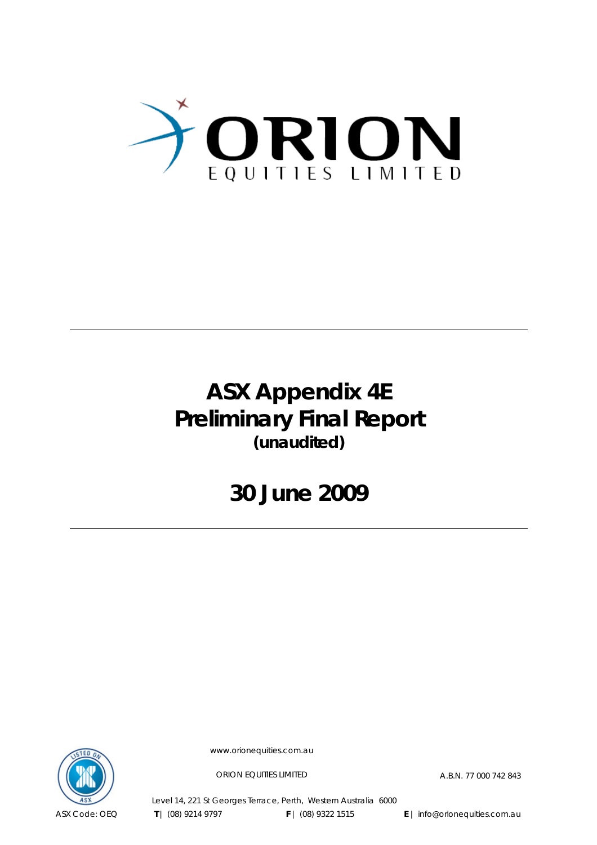

# **ASX Appendix 4E Preliminary Final Report (unaudited)**

**30 June 2009**



www.orionequities.com.au

ORION EQUITIES LIMITED A.B.N. 77 000 742 843

Level 14, 221 St Georges Terrace, Perth, Western Australia 6000  **T** | (08) 9214 9797 **F** | (08) 9322 1515 **E** | info@orionequities.com.au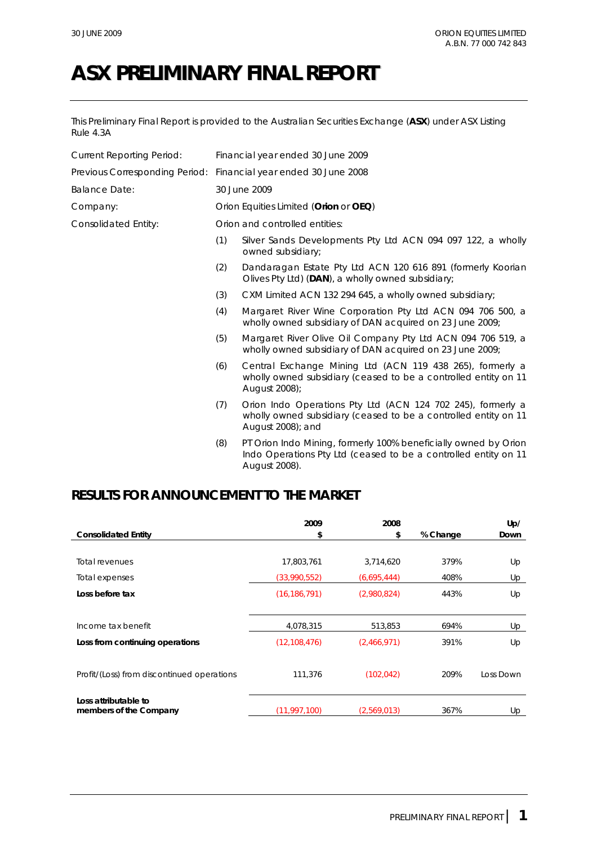This Preliminary Final Report is provided to the Australian Securities Exchange (**ASX**) under ASX Listing Rule 4.3A

| <b>Current Reporting Period:</b> |     | Financial year ended 30 June 2009                                                                                                                   |
|----------------------------------|-----|-----------------------------------------------------------------------------------------------------------------------------------------------------|
| Previous Corresponding Period:   |     | Financial year ended 30 June 2008                                                                                                                   |
| <b>Balance Date:</b>             |     | 30 June 2009                                                                                                                                        |
| Company:                         |     | Orion Equities Limited (Orion or OEQ)                                                                                                               |
| Consolidated Entity:             |     | Orion and controlled entities:                                                                                                                      |
|                                  | (1) | Silver Sands Developments Pty Ltd ACN 094 097 122, a wholly<br>owned subsidiary;                                                                    |
|                                  | (2) | Dandaragan Estate Pty Ltd ACN 120 616 891 (formerly Koorian<br>Olives Pty Ltd) (DAN), a wholly owned subsidiary;                                    |
|                                  | (3) | CXM Limited ACN 132 294 645, a wholly owned subsidiary;                                                                                             |
|                                  | (4) | Margaret River Wine Corporation Pty Ltd ACN 094 706 500, a<br>wholly owned subsidiary of DAN acquired on 23 June 2009;                              |
|                                  | (5) | Margaret River Olive Oil Company Pty Ltd ACN 094 706 519, a<br>wholly owned subsidiary of DAN acquired on 23 June 2009;                             |
|                                  | (6) | Central Exchange Mining Ltd (ACN 119 438 265), formerly a<br>wholly owned subsidiary (ceased to be a controlled entity on 11<br>August 2008);       |
|                                  | (7) | Orion Indo Operations Pty Ltd (ACN 124 702 245), formerly a<br>wholly owned subsidiary (ceased to be a controlled entity on 11<br>August 2008); and |
|                                  | (8) | PT Orion Indo Mining, formerly 100% beneficially owned by Orion<br>Indo Operations Pty Ltd (ceased to be a controlled entity on 11                  |

# **RESULTS FOR ANNOUNCEMENT TO THE MARKET**

|                                                | 2009           | 2008        |          | Up/       |
|------------------------------------------------|----------------|-------------|----------|-----------|
| <b>Consolidated Entity</b>                     | \$             | \$          | % Change | Down      |
|                                                |                |             |          |           |
| <b>Total revenues</b>                          | 17,803,761     | 3,714,620   | 379%     | Up        |
| Total expenses                                 | (33,990,552)   | (6,695,444) | 408%     | Up        |
| Loss before tax                                | (16, 186, 791) | (2,980,824) | 443%     | Up        |
| Income tax benefit                             | 4,078,315      | 513,853     | 694%     | Up        |
| Loss from continuing operations                | (12, 108, 476) | (2,466,971) | 391%     | Up        |
| Profit/(Loss) from discontinued operations     | 111,376        | (102, 042)  | 209%     | Loss Down |
| Loss attributable to<br>members of the Company | (11, 997, 100) | (2.569.013) | 367%     | Up        |

August 2008).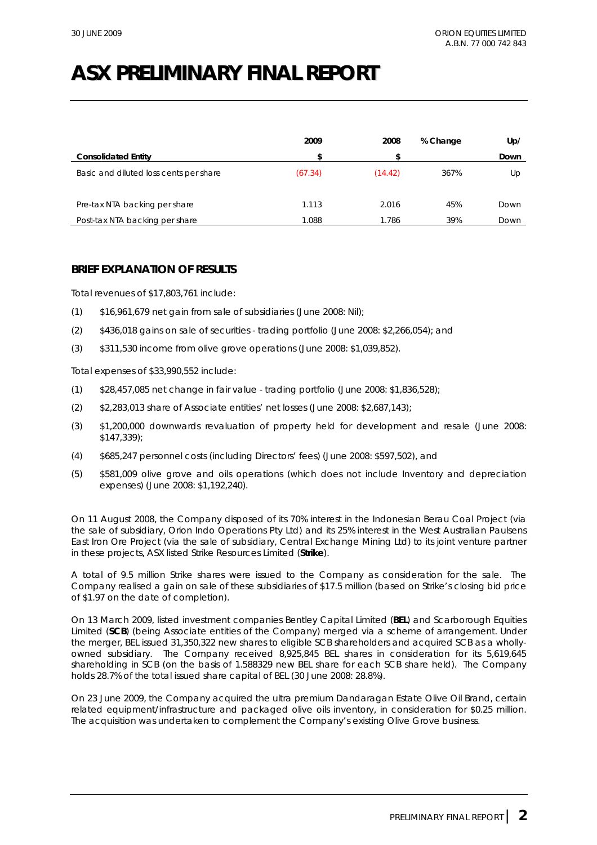|                                        | 2009    | 2008    | % Change | Up/  |
|----------------------------------------|---------|---------|----------|------|
| <b>Consolidated Entity</b>             | \$      | \$      |          | Down |
| Basic and diluted loss cents per share | (67.34) | (14.42) | 367%     | Up   |
| Pre-tax NTA backing per share          | 1.113   | 2.016   | 45%      | Down |
| Post-tax NTA backing per share         | 1.088   | 1.786   | 39%      | Down |

# **BRIEF EXPLANATION OF RESULTS**

Total revenues of \$17,803,761 include:

- (1) \$16,961,679 net gain from sale of subsidiaries (June 2008: Nil);
- (2) \$436,018 gains on sale of securities trading portfolio (June 2008: \$2,266,054); and
- (3) \$311,530 income from olive grove operations (June 2008: \$1,039,852).

Total expenses of \$33,990,552 include:

- (1) \$28,457,085 net change in fair value trading portfolio (June 2008: \$1,836,528);
- (2) \$2,283,013 share of Associate entities' net losses (June 2008: \$2,687,143);
- (3) \$1,200,000 downwards revaluation of property held for development and resale (June 2008: \$147,339);
- (4) \$685,247 personnel costs (including Directors' fees) (June 2008: \$597,502), and
- (5) \$581,009 olive grove and oils operations (which does not include Inventory and depreciation expenses) (June 2008: \$1,192,240).

On 11 August 2008, the Company disposed of its 70% interest in the Indonesian Berau Coal Project (via the sale of subsidiary, Orion Indo Operations Pty Ltd) and its 25% interest in the West Australian Paulsens East Iron Ore Project (via the sale of subsidiary, Central Exchange Mining Ltd) to its joint venture partner in these projects, ASX listed Strike Resources Limited (**Strike**).

A total of 9.5 million Strike shares were issued to the Company as consideration for the sale. The Company realised a gain on sale of these subsidiaries of \$17.5 million (based on Strike's closing bid price of \$1.97 on the date of completion).

On 13 March 2009, listed investment companies Bentley Capital Limited (**BEL**) and Scarborough Equities Limited (**SCB**) (being Associate entities of the Company) merged via a scheme of arrangement. Under the merger, BEL issued 31,350,322 new shares to eligible SCB shareholders and acquired SCB as a whollyowned subsidiary. The Company received 8,925,845 BEL shares in consideration for its 5,619,645 shareholding in SCB (on the basis of 1.588329 new BEL share for each SCB share held). The Company holds 28.7% of the total issued share capital of BEL (30 June 2008: 28.8%).

On 23 June 2009, the Company acquired the ultra premium Dandaragan Estate Olive Oil Brand, certain related equipment/infrastructure and packaged olive oils inventory, in consideration for \$0.25 million. The acquisition was undertaken to complement the Company's existing Olive Grove business.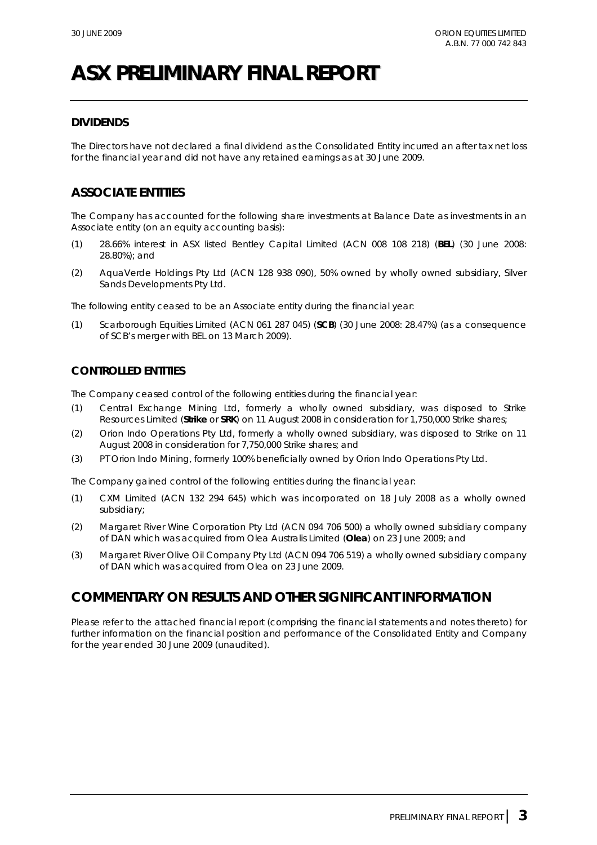# **DIVIDENDS**

The Directors have not declared a final dividend as the Consolidated Entity incurred an after tax net loss for the financial year and did not have any retained earnings as at 30 June 2009.

# **ASSOCIATE ENTITIES**

The Company has accounted for the following share investments at Balance Date as investments in an Associate entity (on an equity accounting basis):

- (1) 28.66% interest in ASX listed Bentley Capital Limited (ACN 008 108 218) (**BEL**) (30 June 2008: 28.80%); and
- (2) AquaVerde Holdings Pty Ltd (ACN 128 938 090), 50% owned by wholly owned subsidiary, Silver Sands Developments Pty Ltd.

The following entity ceased to be an Associate entity during the financial year:

(1) Scarborough Equities Limited (ACN 061 287 045) (**SCB**) (30 June 2008: 28.47%) (as a consequence of SCB's merger with BEL on 13 March 2009).

# **CONTROLLED ENTITIES**

The Company ceased control of the following entities during the financial year:

- (1) Central Exchange Mining Ltd, formerly a wholly owned subsidiary, was disposed to Strike Resources Limited (**Strike** or **SRK**) on 11 August 2008 in consideration for 1,750,000 Strike shares;
- (2) Orion Indo Operations Pty Ltd, formerly a wholly owned subsidiary, was disposed to Strike on 11 August 2008 in consideration for 7,750,000 Strike shares; and
- (3) PT Orion Indo Mining, formerly 100% beneficially owned by Orion Indo Operations Pty Ltd.

The Company gained control of the following entities during the financial year:

- (1) CXM Limited (ACN 132 294 645) which was incorporated on 18 July 2008 as a wholly owned subsidiary;
- (2) Margaret River Wine Corporation Pty Ltd (ACN 094 706 500) a wholly owned subsidiary company of DAN which was acquired from Olea Australis Limited (**Olea**) on 23 June 2009; and
- (3) Margaret River Olive Oil Company Pty Ltd (ACN 094 706 519) a wholly owned subsidiary company of DAN which was acquired from Olea on 23 June 2009.

# **COMMENTARY ON RESULTS AND OTHER SIGNIFICANT INFORMATION**

Please refer to the attached financial report (comprising the financial statements and notes thereto) for further information on the financial position and performance of the Consolidated Entity and Company for the year ended 30 June 2009 (unaudited).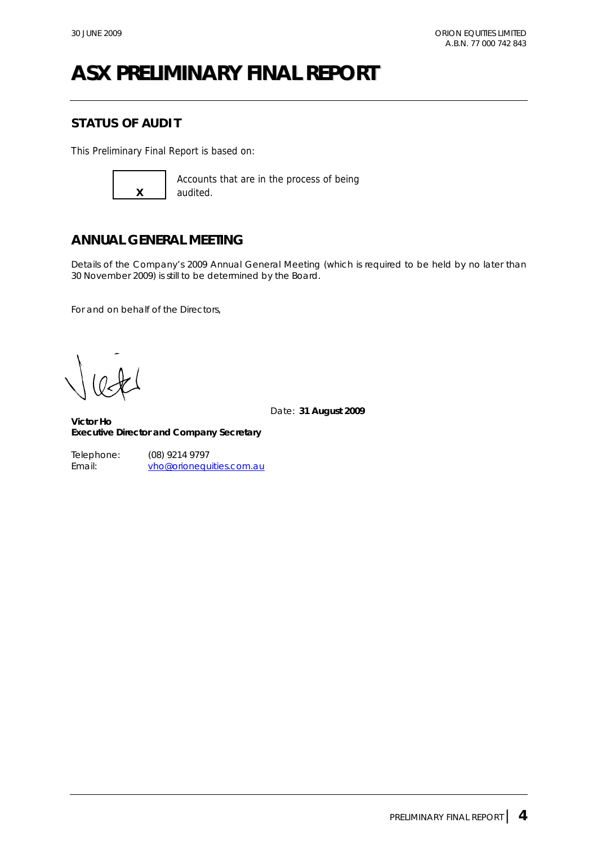# **STATUS OF AUDIT**

This Preliminary Final Report is based on:



Accounts that are in the process of being audited.

# **ANNUAL GENERAL MEETING**

Details of the Company's 2009 Annual General Meeting (which is required to be held by no later than 30 November 2009) is still to be determined by the Board.

For and on behalf of the Directors,

Date: **31 August 2009** 

**Victor Ho Executive Director and Company Secretary** 

Telephone: (08) 9214 9797 Email: vho@orionequities.com.au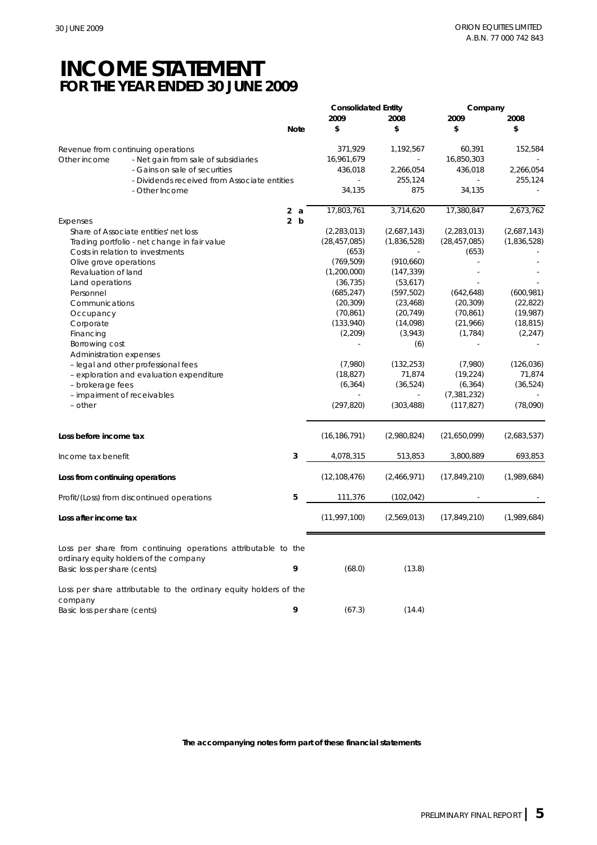# **INCOME STATEMENT FOR THE YEAR ENDED 30 JUNE 2009**

|                                                                                                         |             | <b>Consolidated Entity</b> |             | Company        |             |
|---------------------------------------------------------------------------------------------------------|-------------|----------------------------|-------------|----------------|-------------|
|                                                                                                         |             | 2009                       | 2008        | 2009           | 2008        |
|                                                                                                         | <b>Note</b> | \$                         | \$          | \$             | \$          |
| Revenue from continuing operations                                                                      |             | 371,929                    | 1,192,567   | 60,391         | 152,584     |
| Other income<br>- Net gain from sale of subsidiaries                                                    |             | 16,961,679                 | ä,          | 16,850,303     |             |
| - Gains on sale of securities                                                                           |             | 436,018                    | 2,266,054   | 436,018        | 2,266,054   |
| - Dividends received from Associate entities                                                            |             |                            | 255,124     |                | 255,124     |
| - Other Income                                                                                          |             | 34,135                     | 875         | 34,135         |             |
|                                                                                                         | 2a          | 17,803,761                 | 3,714,620   | 17,380,847     | 2,673,762   |
|                                                                                                         | 2 b         |                            |             |                |             |
| Expenses                                                                                                |             |                            |             |                |             |
| Share of Associate entities' net loss                                                                   |             | (2, 283, 013)              | (2,687,143) | (2, 283, 013)  | (2,687,143) |
| Trading portfolio - net change in fair value                                                            |             | (28, 457, 085)             | (1,836,528) | (28, 457, 085) | (1,836,528) |
| Costs in relation to investments                                                                        |             | (653)                      |             | (653)          |             |
| Olive grove operations                                                                                  |             | (769, 509)                 | (910, 660)  |                |             |
| Revaluation of land                                                                                     |             | (1,200,000)                | (147, 339)  |                |             |
| Land operations                                                                                         |             | (36, 735)                  | (53,617)    |                |             |
| Personnel                                                                                               |             | (685, 247)                 | (597, 502)  | (642, 648)     | (600, 981)  |
| Communications                                                                                          |             | (20, 309)                  | (23, 468)   | (20, 309)      | (22, 822)   |
| Occupancy                                                                                               |             | (70, 861)                  | (20, 749)   | (70, 861)      | (19, 987)   |
|                                                                                                         |             |                            |             | (21,966)       | (18, 815)   |
| Corporate                                                                                               |             | (133,940)                  | (14,098)    |                |             |
| Financing                                                                                               |             | (2,209)                    | (3,943)     | (1, 784)       | (2, 247)    |
| Borrowing cost                                                                                          |             |                            | (6)         |                |             |
| Administration expenses                                                                                 |             |                            |             |                |             |
| - legal and other professional fees                                                                     |             | (7,980)                    | (132, 253)  | (7,980)        | (126, 036)  |
| - exploration and evaluation expenditure                                                                |             | (18, 827)                  | 71,874      | (19, 224)      | 71,874      |
| - brokerage fees                                                                                        |             | (6, 364)                   | (36, 524)   | (6, 364)       | (36, 524)   |
| - impairment of receivables                                                                             |             |                            | ä,          | (7, 381, 232)  |             |
| - other                                                                                                 |             | (297, 820)                 | (303, 488)  | (117, 827)     | (78,090)    |
|                                                                                                         |             |                            |             |                |             |
| Loss before income tax                                                                                  |             | (16, 186, 791)             | (2,980,824) | (21,650,099)   | (2,683,537) |
| Income tax benefit                                                                                      | 3           | 4,078,315                  | 513,853     | 3,800,889      | 693,853     |
| Loss from continuing operations                                                                         |             | (12, 108, 476)             | (2,466,971) | (17, 849, 210) | (1,989,684) |
|                                                                                                         |             |                            |             |                |             |
| Profit/(Loss) from discontinued operations                                                              | 5           | 111,376                    | (102, 042)  |                |             |
| Loss after income tax                                                                                   |             | (11, 997, 100)             | (2,569,013) | (17, 849, 210) | (1,989,684) |
| Loss per share from continuing operations attributable to the<br>ordinary equity holders of the company |             |                            |             |                |             |
| Basic loss per share (cents)                                                                            | 9           | (68.0)                     | (13.8)      |                |             |
| Loss per share attributable to the ordinary equity holders of the                                       |             |                            |             |                |             |
| company                                                                                                 |             |                            |             |                |             |
| Basic loss per share (cents)                                                                            | 9           | (67.3)                     | (14.4)      |                |             |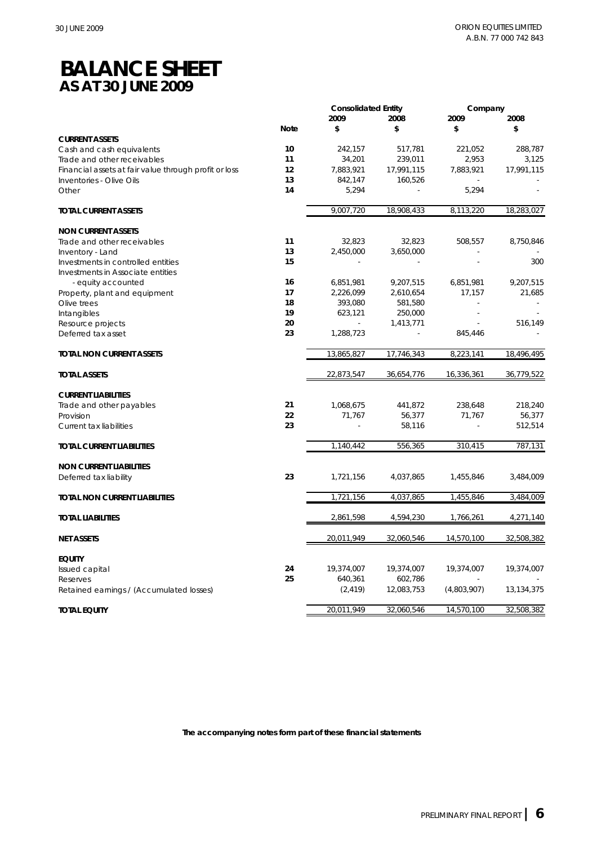# **BALANCE SHEET AS AT 30 JUNE 2009**

|                                                       |             | <b>Consolidated Entity</b> |            | Company     |            |
|-------------------------------------------------------|-------------|----------------------------|------------|-------------|------------|
|                                                       |             | 2009                       | 2008       | 2009        | 2008       |
|                                                       | <b>Note</b> | \$                         | \$         | \$          | \$         |
| <b>CURRENT ASSETS</b>                                 |             |                            |            |             |            |
| Cash and cash equivalents                             | 10          | 242,157                    | 517,781    | 221,052     | 288,787    |
| Trade and other receivables                           | 11          | 34,201                     | 239,011    | 2,953       | 3,125      |
| Financial assets at fair value through profit or loss | 12          | 7,883,921                  | 17,991,115 | 7,883,921   | 17,991,115 |
| Inventories - Olive Oils                              | 13          | 842,147                    | 160,526    |             |            |
| Other                                                 | 14          | 5,294                      |            | 5,294       |            |
| <b>TOTAL CURRENT ASSETS</b>                           |             | 9,007,720                  | 18,908,433 | 8,113,220   | 18,283,027 |
| <b>NON CURRENT ASSETS</b>                             |             |                            |            |             |            |
| Trade and other receivables                           | 11          | 32,823                     | 32,823     | 508,557     | 8,750,846  |
| Inventory - Land                                      | 13          | 2,450,000                  | 3,650,000  |             |            |
| Investments in controlled entities                    | 15          |                            |            |             | 300        |
| Investments in Associate entities                     |             |                            |            |             |            |
| - equity accounted                                    | 16          | 6,851,981                  | 9,207,515  | 6,851,981   | 9,207,515  |
| Property, plant and equipment                         | 17          | 2,226,099                  | 2,610,654  | 17,157      | 21,685     |
| Olive trees                                           | 18          | 393,080                    | 581,580    |             |            |
| Intangibles                                           | 19          | 623,121                    | 250,000    |             |            |
| Resource projects                                     | 20          |                            | 1,413,771  |             | 516,149    |
| Deferred tax asset                                    | 23          | 1,288,723                  |            | 845,446     |            |
| <b>TOTAL NON CURRENT ASSETS</b>                       |             | 13,865,827                 | 17,746,343 | 8,223,141   | 18,496,495 |
| <b>TOTAL ASSETS</b>                                   |             | 22,873,547                 | 36,654,776 | 16,336,361  | 36,779,522 |
| <b>CURRENT LIABILITIES</b>                            |             |                            |            |             |            |
| Trade and other payables                              | 21          | 1,068,675                  | 441,872    | 238,648     | 218,240    |
| Provision                                             | 22          | 71,767                     | 56,377     | 71,767      | 56,377     |
| Current tax liabilities                               | 23          |                            | 58,116     |             | 512,514    |
| TOTAL CURRENT LIABILITIES                             |             | 1,140,442                  | 556,365    | 310,415     | 787,131    |
| <b>NON CURRENT LIABILITIES</b>                        |             |                            |            |             |            |
| Deferred tax liability                                | 23          | 1,721,156                  | 4,037,865  | 1,455,846   | 3,484,009  |
| <b>TOTAL NON CURRENT LIABILITIES</b>                  |             | 1,721,156                  | 4,037,865  | 1,455,846   | 3,484,009  |
| <b>TOTAL LIABILITIES</b>                              |             | 2,861,598                  | 4,594,230  | 1,766,261   | 4,271,140  |
| <b>NET ASSETS</b>                                     |             | 20,011,949                 | 32,060,546 | 14,570,100  | 32,508,382 |
|                                                       |             |                            |            |             |            |
| <b>EQUITY</b>                                         |             |                            |            |             |            |
| Issued capital                                        | 24          | 19,374,007                 | 19,374,007 | 19,374,007  | 19,374,007 |
| Reserves                                              | 25          | 640,361                    | 602,786    |             |            |
| Retained earnings / (Accumulated losses)              |             | (2, 419)                   | 12,083,753 | (4,803,907) | 13,134,375 |
| <b>TOTAL EQUITY</b>                                   |             | 20,011,949                 | 32,060,546 | 14,570,100  | 32,508,382 |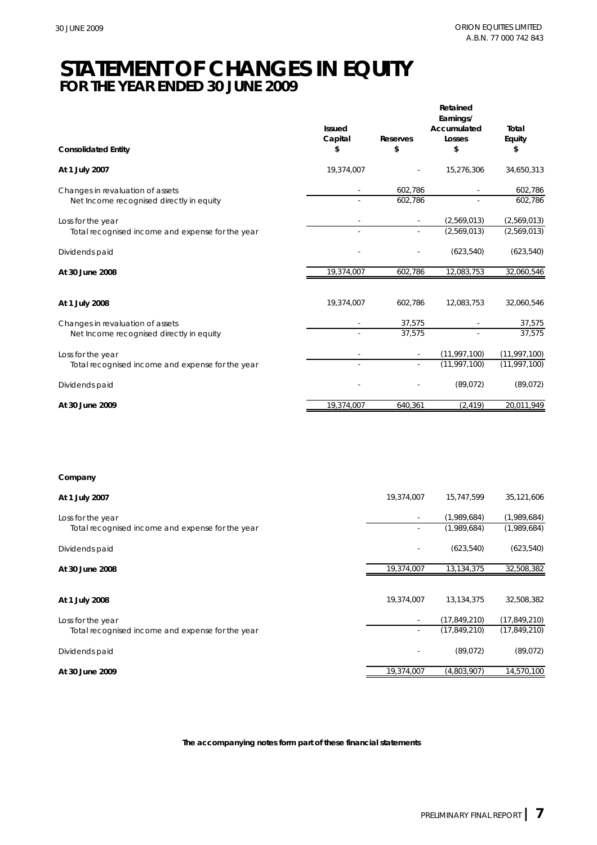# **STATEMENT OF CHANGES IN EQUITY FOR THE YEAR ENDED 30 JUNE 2009**

|                                                                              | <b>Issued</b> |                       | Retained<br>Earnings/<br>Accumulated | Total                            |
|------------------------------------------------------------------------------|---------------|-----------------------|--------------------------------------|----------------------------------|
| <b>Consolidated Entity</b>                                                   | Capital<br>\$ | <b>Reserves</b><br>\$ | Losses<br>\$                         | Equity<br>\$                     |
| At 1 July 2007                                                               | 19,374,007    |                       | 15,276,306                           | 34,650,313                       |
| Changes in revaluation of assets<br>Net Income recognised directly in equity |               | 602,786<br>602,786    |                                      | 602,786<br>602,786               |
| Loss for the year<br>Total recognised income and expense for the year        |               |                       | (2,569,013)<br>(2,569,013)           | (2,569,013)<br>(2,569,013)       |
| Dividends paid                                                               |               |                       | (623, 540)                           | (623, 540)                       |
| At 30 June 2008                                                              | 19,374,007    | 602,786               | 12,083,753                           | 32,060,546                       |
| At 1 July 2008                                                               | 19,374,007    | 602,786               | 12,083,753                           | 32,060,546                       |
| Changes in revaluation of assets<br>Net Income recognised directly in equity |               | 37,575<br>37,575      | $\overline{\phantom{a}}$             | 37,575<br>37,575                 |
| Loss for the year<br>Total recognised income and expense for the year        |               |                       | (11, 997, 100)<br>(11, 997, 100)     | (11, 997, 100)<br>(11, 997, 100) |
| Dividends paid                                                               |               |                       | (89,072)                             | (89,072)                         |
| At 30 June 2009                                                              | 19,374,007    | 640,361               | (2, 419)                             | 20,011,949                       |

# **Company**

| At 1 July 2007                                   | 19,374,007 | 15,747,599     | 35,121,606     |
|--------------------------------------------------|------------|----------------|----------------|
| Loss for the year                                |            | (1,989,684)    | (1,989,684)    |
| Total recognised income and expense for the year | ٠          | (1,989,684)    | (1,989,684)    |
| Dividends paid                                   |            | (623, 540)     | (623, 540)     |
| At 30 June 2008                                  | 19,374,007 | 13,134,375     | 32,508,382     |
|                                                  |            |                |                |
| At 1 July 2008                                   | 19,374,007 | 13,134,375     | 32,508,382     |
| Loss for the year                                |            | (17, 849, 210) | (17, 849, 210) |
| Total recognised income and expense for the year | ٠          | (17, 849, 210) | (17, 849, 210) |
| Dividends paid                                   |            | (89,072)       | (89,072)       |
| At 30 June 2009                                  | 19,374,007 | (4,803,907)    | 14,570,100     |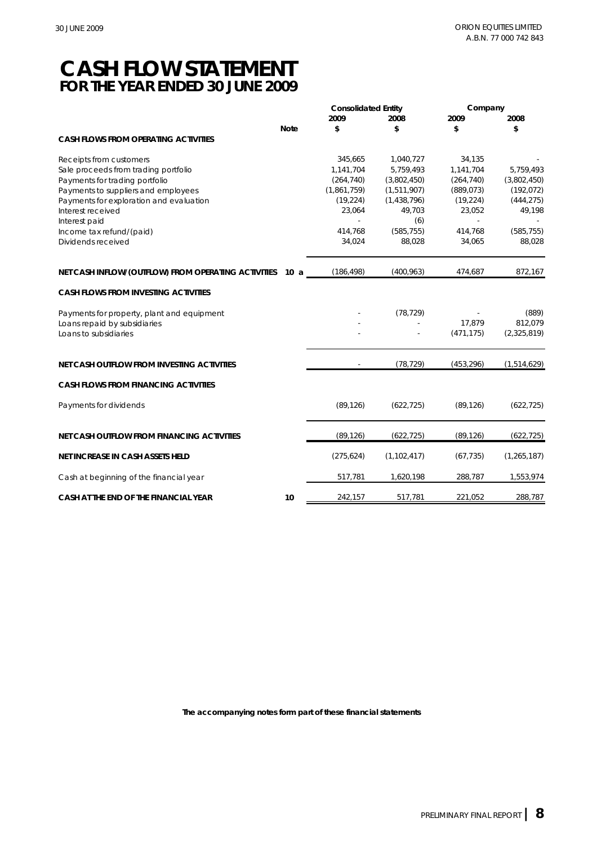# **CASH FLOW STATEMENT FOR THE YEAR ENDED 30 JUNE 2009**

|                                                     |             | <b>Consolidated Entity</b> |               | Company    |               |
|-----------------------------------------------------|-------------|----------------------------|---------------|------------|---------------|
|                                                     |             | 2009                       | 2008          | 2009       | 2008          |
|                                                     | <b>Note</b> | \$                         | \$            | \$         | \$            |
| <b>CASH FLOWS FROM OPERATING ACTIVITIES</b>         |             |                            |               |            |               |
| Receipts from customers                             |             | 345,665                    | 1,040,727     | 34,135     |               |
| Sale proceeds from trading portfolio                |             | 1,141,704                  | 5,759,493     | 1,141,704  | 5,759,493     |
| Payments for trading portfolio                      |             | (264, 740)                 | (3,802,450)   | (264, 740) | (3,802,450)   |
| Payments to suppliers and employees                 |             | (1,861,759)                | (1,511,907)   | (889, 073) | (192, 072)    |
| Payments for exploration and evaluation             |             | (19, 224)                  | (1,438,796)   | (19, 224)  | (444, 275)    |
| Interest received                                   |             | 23,064                     | 49,703        | 23,052     | 49,198        |
| Interest paid                                       |             |                            | (6)           |            |               |
| Income tax refund/(paid)                            |             | 414,768                    | (585, 755)    | 414,768    | (585, 755)    |
| Dividends received                                  |             | 34,024                     | 88,028        | 34,065     | 88,028        |
| NET CASH INFLOW/(OUTFLOW) FROM OPERATING ACTIVITIES | 10 a        | (186, 498)                 | (400, 963)    | 474,687    | 872,167       |
| <b>CASH FLOWS FROM INVESTING ACTIVITIES</b>         |             |                            |               |            |               |
| Payments for property, plant and equipment          |             |                            | (78, 729)     |            | (889)         |
| Loans repaid by subsidiaries                        |             |                            |               | 17,879     | 812,079       |
| Loans to subsidiaries                               |             |                            |               | (471, 175) | (2,325,819)   |
|                                                     |             |                            |               |            |               |
| NET CASH OUTFLOW FROM INVESTING ACTIVITIES          |             |                            | (78, 729)     | (453, 296) | (1,514,629)   |
| <b>CASH FLOWS FROM FINANCING ACTIVITIES</b>         |             |                            |               |            |               |
|                                                     |             | (89, 126)                  | (622, 725)    | (89, 126)  | (622, 725)    |
| Payments for dividends                              |             |                            |               |            |               |
| <b>NET CASH OUTFLOW FROM FINANCING ACTIVITIES</b>   |             | (89, 126)                  | (622, 725)    | (89, 126)  | (622, 725)    |
| <b>NET INCREASE IN CASH ASSETS HELD</b>             |             | (275, 624)                 | (1, 102, 417) | (67, 735)  | (1, 265, 187) |
| Cash at beginning of the financial year             |             | 517,781                    | 1,620,198     | 288,787    | 1,553,974     |
|                                                     |             |                            |               |            |               |
| CASH AT THE END OF THE FINANCIAL YEAR               | 10          | 242,157                    | 517,781       | 221,052    | 288,787       |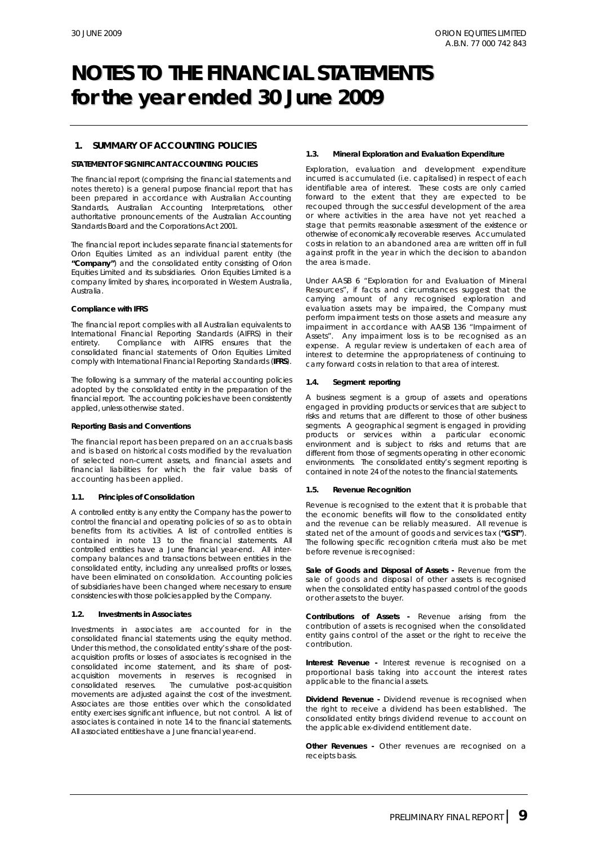## **1. SUMMARY OF ACCOUNTING POLICIES**

## **STATEMENT OF SIGNIFICANT ACCOUNTING POLICIES**

The financial report (comprising the financial statements and notes thereto) is a general purpose financial report that has been prepared in accordance with Australian Accounting Standards, Australian Accounting Interpretations, other authoritative pronouncements of the Australian Accounting Standards Board and the *Corporations Act 2001*.

The financial report includes separate financial statements for Orion Equities Limited as an individual parent entity (the **"Company"**) and the consolidated entity consisting of Orion Equities Limited and its subsidiaries. Orion Equities Limited is a company limited by shares, incorporated in Western Australia, Australia.

#### **Compliance with IFRS**

The financial report complies with all Australian equivalents to International Financial Reporting Standards (AIFRS) in their entirety. Compliance with AIFRS ensures that the consolidated financial statements of Orion Equities Limited comply with International Financial Reporting Standards (**IFRS**).

The following is a summary of the material accounting policies adopted by the consolidated entity in the preparation of the financial report. The accounting policies have been consistently applied, unless otherwise stated.

#### *Reporting Basis and Conventions*

The financial report has been prepared on an accruals basis and is based on historical costs modified by the revaluation of selected non-current assets, and financial assets and financial liabilities for which the fair value basis of accounting has been applied.

### **1.1. Principles of Consolidation**

A controlled entity is any entity the Company has the power to control the financial and operating policies of so as to obtain benefits from its activities. A list of controlled entities is contained in note 13 to the financial statements. All controlled entities have a June financial year-end. All intercompany balances and transactions between entities in the consolidated entity, including any unrealised profits or losses, have been eliminated on consolidation. Accounting policies of subsidiaries have been changed where necessary to ensure consistencies with those policies applied by the Company.

### **1.2. Investments in Associates**

Investments in associates are accounted for in the consolidated financial statements using the equity method. Under this method, the consolidated entity's share of the postacquisition profits or losses of associates is recognised in the consolidated income statement, and its share of postacquisition movements in reserves is recognised in consolidated reserves. The cumulative post-acquisition movements are adjusted against the cost of the investment. Associates are those entities over which the consolidated entity exercises significant influence, but not control. A list of associates is contained in note 14 to the financial statements. All associated entities have a June financial year-end.

#### **1.3. Mineral Exploration and Evaluation Expenditure**

Exploration, evaluation and development expenditure incurred is accumulated (i.e. capitalised) in respect of each identifiable area of interest. These costs are only carried forward to the extent that they are expected to be recouped through the successful development of the area or where activities in the area have not yet reached a stage that permits reasonable assessment of the existence or otherwise of economically recoverable reserves. Accumulated costs in relation to an abandoned area are written off in full against profit in the year in which the decision to abandon the area is made.

Under AASB 6 "Exploration for and Evaluation of Mineral Resources", if facts and circumstances suggest that the carrying amount of any recognised exploration and evaluation assets may be impaired, the Company must perform impairment tests on those assets and measure any impairment in accordance with AASB 136 "Impairment of Assets". Any impairment loss is to be recognised as an expense. A regular review is undertaken of each area of interest to determine the appropriateness of continuing to carry forward costs in relation to that area of interest.

### **1.4. Segment reporting**

A business segment is a group of assets and operations engaged in providing products or services that are subject to risks and returns that are different to those of other business segments. A geographical segment is engaged in providing products or services within a particular economic environment and is subject to risks and returns that are different from those of segments operating in other economic environments. The consolidated entity's segment reporting is contained in note 24 of the notes to the financial statements.

### **1.5. Revenue Recognition**

Revenue is recognised to the extent that it is probable that the economic benefits will flow to the consolidated entity and the revenue can be reliably measured. All revenue is stated net of the amount of goods and services tax (**"GST"**). The following specific recognition criteria must also be met before revenue is recognised:

*Sale of Goods and Disposal of Assets* **-** Revenue from the sale of goods and disposal of other assets is recognised when the consolidated entity has passed control of the goods or other assets to the buyer.

*Contributions of Assets* **-** Revenue arising from the contribution of assets is recognised when the consolidated entity gains control of the asset or the right to receive the contribution.

**Interest Revenue -** Interest revenue is recognised on a proportional basis taking into account the interest rates applicable to the financial assets.

*Dividend Revenue* **-** Dividend revenue is recognised when the right to receive a dividend has been established. The consolidated entity brings dividend revenue to account on the applicable ex-dividend entitlement date.

**Other Revenues** - Other revenues are recognised on a receipts basis.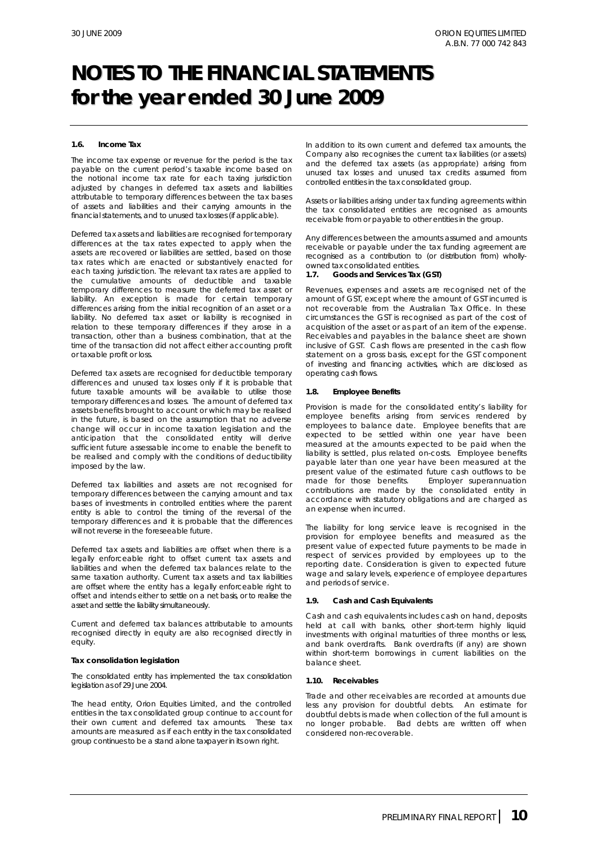#### **1.6. Income Tax**

The income tax expense or revenue for the period is the tax payable on the current period's taxable income based on the notional income tax rate for each taxing jurisdiction adjusted by changes in deferred tax assets and liabilities attributable to temporary differences between the tax bases of assets and liabilities and their carrying amounts in the financial statements, and to unused tax losses (if applicable).

Deferred tax assets and liabilities are recognised for temporary differences at the tax rates expected to apply when the assets are recovered or liabilities are settled, based on those tax rates which are enacted or substantively enacted for each taxing jurisdiction. The relevant tax rates are applied to the cumulative amounts of deductible and taxable temporary differences to measure the deferred tax asset or liability. An exception is made for certain temporary differences arising from the initial recognition of an asset or a liability. No deferred tax asset or liability is recognised in relation to these temporary differences if they arose in a transaction, other than a business combination, that at the time of the transaction did not affect either accounting profit or taxable profit or loss.

Deferred tax assets are recognised for deductible temporary differences and unused tax losses only if it is probable that future taxable amounts will be available to utilise those temporary differences and losses. The amount of deferred tax assets benefits brought to account or which may be realised in the future, is based on the assumption that no adverse change will occur in income taxation legislation and the anticipation that the consolidated entity will derive sufficient future assessable income to enable the benefit to be realised and comply with the conditions of deductibility imposed by the law.

Deferred tax liabilities and assets are not recognised for temporary differences between the carrying amount and tax bases of investments in controlled entities where the parent entity is able to control the timing of the reversal of the temporary differences and it is probable that the differences will not reverse in the foreseeable future.

Deferred tax assets and liabilities are offset when there is a legally enforceable right to offset current tax assets and liabilities and when the deferred tax balances relate to the same taxation authority. Current tax assets and tax liabilities are offset where the entity has a legally enforceable right to offset and intends either to settle on a net basis, or to realise the asset and settle the liability simultaneously.

Current and deferred tax balances attributable to amounts recognised directly in equity are also recognised directly in equity.

#### *Tax consolidation legislation*

The consolidated entity has implemented the tax consolidation legislation as of 29 June 2004.

The head entity, Orion Equities Limited, and the controlled entities in the tax consolidated group continue to account for their own current and deferred tax amounts. These tax amounts are measured as if each entity in the tax consolidated group continues to be a stand alone taxpayer in its own right.

In addition to its own current and deferred tax amounts, the Company also recognises the current tax liabilities (or assets) and the deferred tax assets (as appropriate) arising from unused tax losses and unused tax credits assumed from controlled entities in the tax consolidated group.

Assets or liabilities arising under tax funding agreements within the tax consolidated entities are recognised as amounts receivable from or payable to other entities in the group.

Any differences between the amounts assumed and amounts receivable or payable under the tax funding agreement are recognised as a contribution to (or distribution from) whollyowned tax consolidated entities.

#### **1.7. Goods and Services Tax (GST)**

Revenues, expenses and assets are recognised net of the amount of GST, except where the amount of GST incurred is not recoverable from the Australian Tax Office. In these circumstances the GST is recognised as part of the cost of acquisition of the asset or as part of an item of the expense. Receivables and payables in the balance sheet are shown inclusive of GST. Cash flows are presented in the cash flow statement on a gross basis, except for the GST component of investing and financing activities, which are disclosed as operating cash flows.

#### **1.8. Employee Benefits**

Provision is made for the consolidated entity's liability for employee benefits arising from services rendered by employees to balance date. Employee benefits that are expected to be settled within one year have been measured at the amounts expected to be paid when the liability is settled, plus related on-costs. Employee benefits payable later than one year have been measured at the present value of the estimated future cash outflows to be made for those benefits. Employer superannuation contributions are made by the consolidated entity in accordance with statutory obligations and are charged as an expense when incurred.

The liability for long service leave is recognised in the provision for employee benefits and measured as the present value of expected future payments to be made in respect of services provided by employees up to the reporting date. Consideration is given to expected future wage and salary levels, experience of employee departures and periods of service.

#### **1.9. Cash and Cash Equivalents**

Cash and cash equivalents includes cash on hand, deposits held at call with banks, other short-term highly liquid investments with original maturities of three months or less, and bank overdrafts. Bank overdrafts (if any) are shown within short-term borrowings in current liabilities on the balance sheet.

#### **1.10. Receivables**

Trade and other receivables are recorded at amounts due less any provision for doubtful debts. An estimate for doubtful debts is made when collection of the full amount is no longer probable. Bad debts are written off when considered non-recoverable.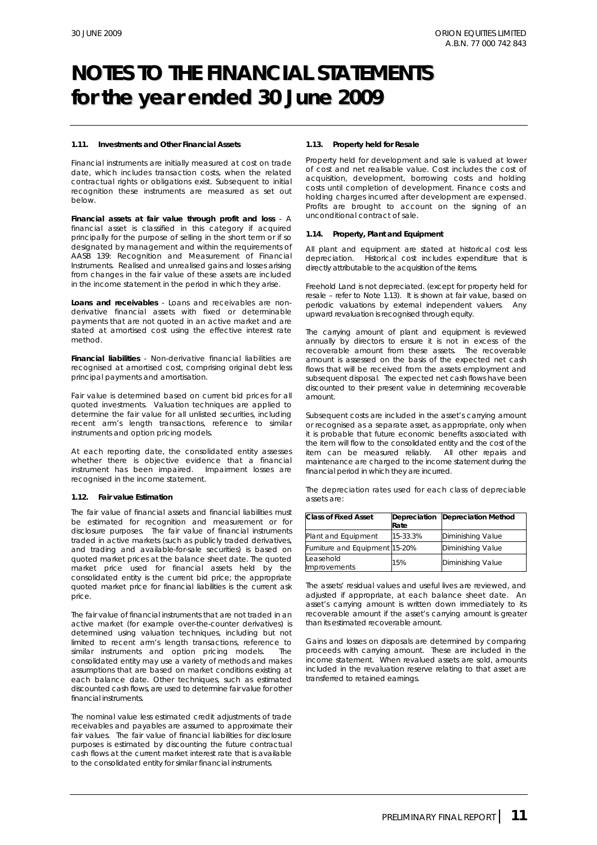#### **1.11. Investments and Other Financial Assets**

Financial instruments are initially measured at cost on trade date, which includes transaction costs, when the related contractual rights or obligations exist. Subsequent to initial recognition these instruments are measured as set out below.

*Financial assets at fair value through profit and loss* - A financial asset is classified in this category if acquired principally for the purpose of selling in the short term or if so designated by management and within the requirements of AASB 139: *Recognition and Measurement of Financial Instruments*. Realised and unrealised gains and losses arising from changes in the fair value of these assets are included in the income statement in the period in which they arise.

*Loans and receivables* - Loans and receivables are nonderivative financial assets with fixed or determinable payments that are not quoted in an active market and are stated at amortised cost using the effective interest rate method.

*Financial liabilities* - Non-derivative financial liabilities are recognised at amortised cost, comprising original debt less principal payments and amortisation.

Fair value is determined based on current bid prices for all quoted investments. Valuation techniques are applied to determine the fair value for all unlisted securities, including recent arm's length transactions, reference to similar instruments and option pricing models.

At each reporting date, the consolidated entity assesses whether there is objective evidence that a financial instrument has been impaired. Impairment losses are recognised in the income statement.

### **1.12. Fair value Estimation**

The fair value of financial assets and financial liabilities must be estimated for recognition and measurement or for disclosure purposes. The fair value of financial instruments traded in active markets (such as publicly traded derivatives, and trading and available-for-sale securities) is based on quoted market prices at the balance sheet date. The quoted market price used for financial assets held by the consolidated entity is the current bid price; the appropriate quoted market price for financial liabilities is the current ask price.

The fair value of financial instruments that are not traded in an active market (for example over-the-counter derivatives) is determined using valuation techniques, including but not limited to recent arm's length transactions, reference to similar instruments and option pricing models. The consolidated entity may use a variety of methods and makes assumptions that are based on market conditions existing at each balance date. Other techniques, such as estimated discounted cash flows, are used to determine fair value for other financial instruments.

The nominal value less estimated credit adjustments of trade receivables and payables are assumed to approximate their fair values. The fair value of financial liabilities for disclosure purposes is estimated by discounting the future contractual cash flows at the current market interest rate that is available to the consolidated entity for similar financial instruments.

#### **1.13. Property held for Resale**

Property held for development and sale is valued at lower of cost and net realisable value. Cost includes the cost of acquisition, development, borrowing costs and holding costs until completion of development. Finance costs and holding charges incurred after development are expensed. Profits are brought to account on the signing of an unconditional contract of sale.

#### **1.14. Property, Plant and Equipment**

All plant and equipment are stated at historical cost less depreciation. Historical cost includes expenditure that is directly attributable to the acquisition of the items.

Freehold Land is not depreciated. (except for property held for resale – refer to Note 1.13). It is shown at fair value, based on periodic valuations by external independent valuers. Any upward revaluation is recognised through equity.

The carrying amount of plant and equipment is reviewed annually by directors to ensure it is not in excess of the recoverable amount from these assets. The recoverable amount is assessed on the basis of the expected net cash flows that will be received from the assets employment and subsequent disposal. The expected net cash flows have been discounted to their present value in determining recoverable amount.

Subsequent costs are included in the asset's carrying amount or recognised as a separate asset, as appropriate, only when it is probable that future economic benefits associated with the item will flow to the consolidated entity and the cost of the item can be measured reliably. All other repairs and maintenance are charged to the income statement during the financial period in which they are incurred.

The depreciation rates used for each class of depreciable assets are:

| <b>Class of Fixed Asset</b>      | Rate     | Depreciation Depreciation Method |
|----------------------------------|----------|----------------------------------|
| Plant and Equipment              | 15-33.3% | Diminishing Value                |
| Furniture and Equipment 15-20%   |          | <b>Diminishing Value</b>         |
| Leasehold<br><b>Improvements</b> | 15%      | <b>Diminishing Value</b>         |

The assets' residual values and useful lives are reviewed, and adjusted if appropriate, at each balance sheet date. An asset's carrying amount is written down immediately to its recoverable amount if the asset's carrying amount is greater than its estimated recoverable amount.

Gains and losses on disposals are determined by comparing proceeds with carrying amount. These are included in the income statement. When revalued assets are sold, amounts included in the revaluation reserve relating to that asset are transferred to retained earnings.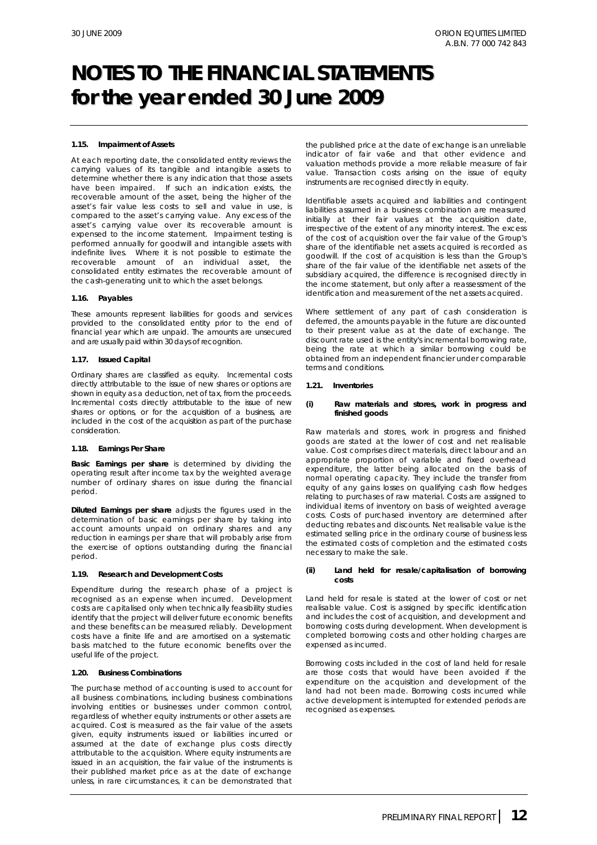### **1.15. Impairment of Assets**

At each reporting date, the consolidated entity reviews the carrying values of its tangible and intangible assets to determine whether there is any indication that those assets have been impaired. If such an indication exists, the recoverable amount of the asset, being the higher of the asset's fair value less costs to sell and value in use, is compared to the asset's carrying value. Any excess of the asset's carrying value over its recoverable amount is expensed to the income statement. Impairment testing is performed annually for goodwill and intangible assets with indefinite lives. Where it is not possible to estimate the recoverable amount of an individual asset, the consolidated entity estimates the recoverable amount of the cash-generating unit to which the asset belongs.

#### **1.16. Payables**

These amounts represent liabilities for goods and services provided to the consolidated entity prior to the end of financial year which are unpaid. The amounts are unsecured and are usually paid within 30 days of recognition.

#### **1.17. Issued Capital**

Ordinary shares are classified as equity. Incremental costs directly attributable to the issue of new shares or options are shown in equity as a deduction, net of tax, from the proceeds. Incremental costs directly attributable to the issue of new shares or options, or for the acquisition of a business, are included in the cost of the acquisition as part of the purchase consideration.

#### **1.18. Earnings Per Share**

*Basic Earnings per share* is determined by dividing the operating result after income tax by the weighted average number of ordinary shares on issue during the financial period.

*Diluted Earnings per share* adjusts the figures used in the determination of basic earnings per share by taking into account amounts unpaid on ordinary shares and any reduction in earnings per share that will probably arise from the exercise of options outstanding during the financial period.

#### **1.19. Research and Development Costs**

Expenditure during the research phase of a project is recognised as an expense when incurred. Development costs are capitalised only when technically feasibility studies identify that the project will deliver future economic benefits and these benefits can be measured reliably. Development costs have a finite life and are amortised on a systematic basis matched to the future economic benefits over the useful life of the project.

#### **1.20. Business Combinations**

The purchase method of accounting is used to account for all business combinations, including business combinations involving entities or businesses under common control, regardless of whether equity instruments or other assets are acquired. Cost is measured as the fair value of the assets given, equity instruments issued or liabilities incurred or assumed at the date of exchange plus costs directly attributable to the acquisition. Where equity instruments are issued in an acquisition, the fair value of the instruments is their published market price as at the date of exchange unless, in rare circumstances, it can be demonstrated that

the published price at the date of exchange is an unreliable indicator of fair va6e and that other evidence and valuation methods provide a more reliable measure of fair value. Transaction costs arising on the issue of equity instruments are recognised directly in equity.

Identifiable assets acquired and liabilities and contingent liabilities assumed in a business combination are measured initially at their fair values at the acquisition date, irrespective of the extent of any minority interest. The excess of the cost of acquisition over the fair value of the Group's share of the identifiable net assets acquired is recorded as goodwill. If the cost of acquisition is less than the Group's share of the fair value of the identifiable net assets of the subsidiary acquired, the difference is recognised directly in the income statement, but only after a reassessment of the identification and measurement of the net assets acquired.

Where settlement of any part of cash consideration is deferred, the amounts payable in the future are discounted to their present value as at the date of exchange. The discount rate used is the entity's incremental borrowing rate, being the rate at which a similar borrowing could be obtained from an independent financier under comparable terms and conditions.

#### **1.21. Inventories**

#### *(i)* **Raw materials and stores, work in progress and finished goods**

Raw materials and stores, work in progress and finished goods are stated at the lower of cost and net realisable value. Cost comprises direct materials, direct labour and an appropriate proportion of variable and fixed overhead expenditure, the latter being allocated on the basis of normal operating capacity. They include the transfer from equity of any gains losses on qualifying cash flow hedges relating to purchases of raw material. Costs are assigned to individual items of inventory on basis of weighted average costs. Costs of purchased inventory are determined after deducting rebates and discounts. Net realisable value is the estimated selling price in the ordinary course of business less the estimated costs of completion and the estimated costs necessary to make the sale.

#### *(ii)* **Land held for resale/capitalisation of borrowing costs**

Land held for resale is stated at the lower of cost or net realisable value. Cost is assigned by specific identification and includes the cost of acquisition, and development and borrowing costs during development. When development is completed borrowing costs and other holding charges are expensed as incurred.

Borrowing costs included in the cost of land held for resale are those costs that would have been avoided if the expenditure on the acquisition and development of the land had not been made. Borrowing costs incurred while active development is interrupted for extended periods are recognised as expenses.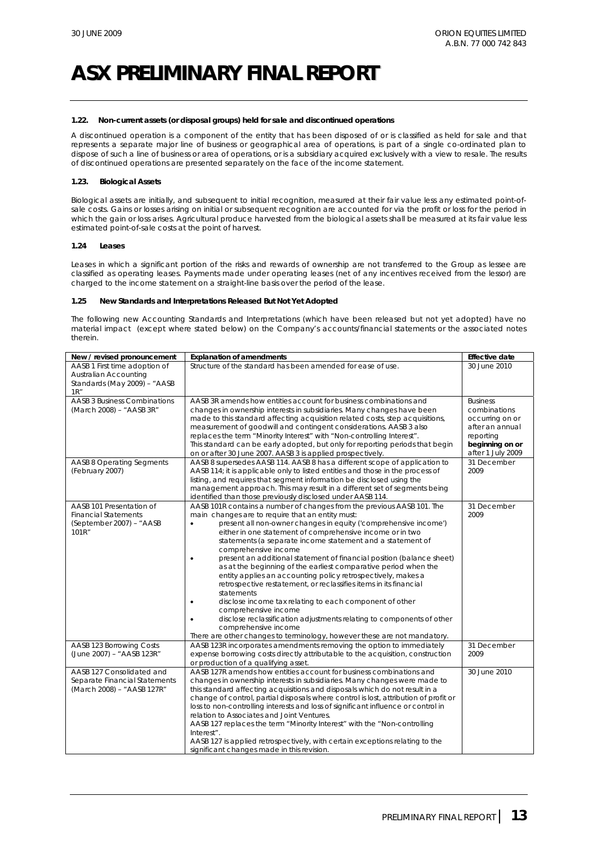#### **1.22. Non-current assets (or disposal groups) held for sale and discontinued operations**

A discontinued operation is a component of the entity that has been disposed of or is classified as held for sale and that represents a separate major line of business or geographical area of operations, is part of a single co-ordinated plan to dispose of such a line of business or area of operations, or is a subsidiary acquired exclusively with a view to resale. The results of discontinued operations are presented separately on the face of the income statement.

### **1.23. Biological Assets**

Biological assets are initially, and subsequent to initial recognition, measured at their fair value less any estimated point-ofsale costs. Gains or losses arising on initial or subsequent recognition are accounted for via the profit or loss for the period in which the gain or loss arises. Agricultural produce harvested from the biological assets shall be measured at its fair value less estimated point-of-sale costs at the point of harvest.

#### **1.24 Leases**

Leases in which a significant portion of the risks and rewards of ownership are not transferred to the Group as lessee are classified as operating leases. Payments made under operating leases (net of any incentives received from the lessor) are charged to the income statement on a straight-line basis over the period of the lease.

## **1.25 New Standards and Interpretations Released But Not Yet Adopted**

The following new Accounting Standards and Interpretations (which have been released but not yet adopted) have no material impact (except where stated below) on the Company's accounts/financial statements or the associated notes therein.

| New / revised pronouncement                                                                    | <b>Explanation of amendments</b>                                                                                                                                                                                                                                                                                                                                                                                                                                                                                                                                                                                                                                                                                                                                                                                                                                                                                                           | <b>Effective date</b>                                                                                                      |
|------------------------------------------------------------------------------------------------|--------------------------------------------------------------------------------------------------------------------------------------------------------------------------------------------------------------------------------------------------------------------------------------------------------------------------------------------------------------------------------------------------------------------------------------------------------------------------------------------------------------------------------------------------------------------------------------------------------------------------------------------------------------------------------------------------------------------------------------------------------------------------------------------------------------------------------------------------------------------------------------------------------------------------------------------|----------------------------------------------------------------------------------------------------------------------------|
| AASB 1 First time adoption of<br>Australian Accounting<br>Standards (May 2009) - "AASB<br>1R'' | Structure of the standard has been amended for ease of use.                                                                                                                                                                                                                                                                                                                                                                                                                                                                                                                                                                                                                                                                                                                                                                                                                                                                                | 30 June 2010                                                                                                               |
| <b>AASB 3 Business Combinations</b><br>(March 2008) - "AASB 3R"                                | AASB 3R amends how entities account for business combinations and<br>changes in ownership interests in subsidiaries. Many changes have been<br>made to this standard affecting acquisition related costs, step acquisitions,<br>measurement of goodwill and contingent considerations. AASB 3 also<br>replaces the term "Minority Interest" with "Non-controlling Interest".<br>This standard can be early adopted, but only for reporting periods that begin<br>on or after 30 June 2007. AASB 3 is applied prospectively.                                                                                                                                                                                                                                                                                                                                                                                                                | <b>Business</b><br>combinations<br>occurring on or<br>after an annual<br>reporting<br>beginning on or<br>after 1 July 2009 |
| <b>AASB 8 Operating Segments</b><br>(February 2007)                                            | AASB 8 supersedes AASB 114. AASB 8 has a different scope of application to<br>AASB 114; it is applicable only to listed entities and those in the process of<br>listing, and requires that segment information be disclosed using the<br>management approach. This may result in a different set of segments being<br>identified than those previously disclosed under AASB 114.                                                                                                                                                                                                                                                                                                                                                                                                                                                                                                                                                           | 31 December<br>2009                                                                                                        |
| AASB 101 Presentation of<br><b>Financial Statements</b><br>(September 2007) - "AASB<br>101R"   | AASB 101R contains a number of changes from the previous AASB 101. The<br>main changes are to require that an entity must:<br>present all non-owner changes in equity ('comprehensive income')<br>$\bullet$<br>either in one statement of comprehensive income or in two<br>statements (a separate income statement and a statement of<br>comprehensive income<br>present an additional statement of financial position (balance sheet)<br>$\bullet$<br>as at the beginning of the earliest comparative period when the<br>entity applies an accounting policy retrospectively, makes a<br>retrospective restatement, or reclassifies items in its financial<br>statements<br>disclose income tax relating to each component of other<br>comprehensive income<br>disclose reclassification adjustments relating to components of other<br>comprehensive income<br>There are other changes to terminology, however these are not mandatory. | 31 December<br>2009                                                                                                        |
| AASB 123 Borrowing Costs<br>(June 2007) - "AASB 123R"                                          | AASB 123R incorporates amendments removing the option to immediately<br>expense borrowing costs directly attributable to the acquisition, construction<br>or production of a qualifying asset.                                                                                                                                                                                                                                                                                                                                                                                                                                                                                                                                                                                                                                                                                                                                             | 31 December<br>2009                                                                                                        |
| AASB 127 Consolidated and<br>Separate Financial Statements<br>(March 2008) - "AASB 127R"       | AASB 127R amends how entities account for business combinations and<br>changes in ownership interests in subsidiaries. Many changes were made to<br>this standard affecting acquisitions and disposals which do not result in a<br>change of control, partial disposals where control is lost, attribution of profit or<br>loss to non-controlling interests and loss of significant influence or control in<br>relation to Associates and Joint Ventures.<br>AASB 127 replaces the term "Minority Interest" with the "Non-controlling<br>Interest".<br>AASB 127 is applied retrospectively, with certain exceptions relating to the<br>significant changes made in this revision.                                                                                                                                                                                                                                                         | 30 June 2010                                                                                                               |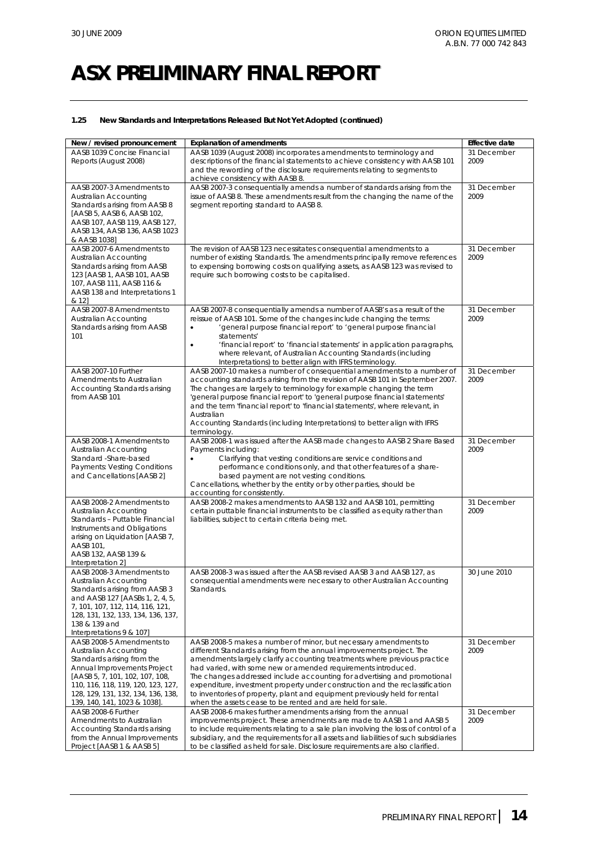## **1.25 New Standards and Interpretations Released But Not Yet Adopted (continued)**

| New / revised pronouncement                                                                                                                                                                                                                                    | <b>Explanation of amendments</b>                                                                                                                                                                                                                                                                                                                                                                                                                                                                                                                                                              | <b>Effective date</b> |
|----------------------------------------------------------------------------------------------------------------------------------------------------------------------------------------------------------------------------------------------------------------|-----------------------------------------------------------------------------------------------------------------------------------------------------------------------------------------------------------------------------------------------------------------------------------------------------------------------------------------------------------------------------------------------------------------------------------------------------------------------------------------------------------------------------------------------------------------------------------------------|-----------------------|
| AASB 1039 Concise Financial<br>Reports (August 2008)                                                                                                                                                                                                           | AASB 1039 (August 2008) incorporates amendments to terminology and<br>descriptions of the financial statements to achieve consistency with AASB 101<br>and the rewording of the disclosure requirements relating to segments to<br>achieve consistency with AASB 8.                                                                                                                                                                                                                                                                                                                           | 31 December<br>2009   |
| AASB 2007-3 Amendments to<br>Australian Accounting<br>Standards arising from AASB 8<br>[AASB 5, AASB 6, AASB 102,<br>AASB 107, AASB 119, AASB 127,<br>AASB 134, AASB 136, AASB 1023<br>& AASB 1038]                                                            | AASB 2007-3 consequentially amends a number of standards arising from the<br>issue of AASB 8. These amendments result from the changing the name of the<br>segment reporting standard to AASB 8.                                                                                                                                                                                                                                                                                                                                                                                              | 31 December<br>2009   |
| AASB 2007-6 Amendments to<br>Australian Accounting<br>Standards arising from AASB<br>123 [AASB 1, AASB 101, AASB<br>107, AASB 111, AASB 116 &<br>AASB 138 and Interpretations 1<br>& 12]                                                                       | The revision of AASB 123 necessitates consequential amendments to a<br>number of existing Standards. The amendments principally remove references<br>to expensing borrowing costs on qualifying assets, as AASB 123 was revised to<br>require such borrowing costs to be capitalised.                                                                                                                                                                                                                                                                                                         | 31 December<br>2009   |
| AASB 2007-8 Amendments to<br>Australian Accounting<br>Standards arising from AASB<br>101                                                                                                                                                                       | AASB 2007-8 consequentially amends a number of AASB's as a result of the<br>reissue of AASB 101. Some of the changes include changing the terms:<br>'general purpose financial report' to 'general purpose financial<br>$\bullet$<br>statements'<br>'financial report' to 'financial statements' in application paragraphs,<br>$\bullet$<br>where relevant, of Australian Accounting Standards (including<br>Interpretations) to better align with IFRS terminology.                                                                                                                          | 31 December<br>2009   |
| AASB 2007-10 Further<br>Amendments to Australian<br>Accounting Standards arising<br>from AASB 101                                                                                                                                                              | AASB 2007-10 makes a number of consequential amendments to a number of<br>accounting standards arising from the revision of AASB 101 in September 2007.<br>The changes are largely to terminology for example changing the term<br>'general purpose financial report' to 'general purpose financial statements'<br>and the term 'financial report' to 'financial statements', where relevant, in<br>Australian<br>Accounting Standards (including Interpretations) to better align with IFRS<br>terminology.                                                                                  | 31 December<br>2009   |
| AASB 2008-1 Amendments to<br>Australian Accounting<br>Standard - Share-based<br>Payments: Vesting Conditions<br>and Cancellations [AASB 2]                                                                                                                     | AASB 2008-1 was issued after the AASB made changes to AASB 2 Share Based<br>Payments including:<br>Clarifying that vesting conditions are service conditions and<br>$\bullet$<br>performance conditions only, and that other features of a share-<br>based payment are not vesting conditions.<br>Cancellations, whether by the entity or by other parties, should be<br>accounting for consistently.                                                                                                                                                                                         | 31 December<br>2009   |
| AASB 2008-2 Amendments to<br>Australian Accounting<br>Standards - Puttable Financial<br>Instruments and Obligations<br>arising on Liquidation [AASB 7,<br>AASB 101.<br>AASB 132, AASB 139 &<br>Interpretation 2]                                               | AASB 2008-2 makes amendments to AASB 132 and AASB 101, permitting<br>certain puttable financial instruments to be classified as equity rather than<br>liabilities, subject to certain criteria being met.                                                                                                                                                                                                                                                                                                                                                                                     | 31 December<br>2009   |
| AASB 2008-3 Amendments to<br>Australian Accounting<br>Standards arising from AASB 3<br>and AASB 127 [AASBs 1, 2, 4, 5,<br>7, 101, 107, 112, 114, 116, 121,<br>128, 131, 132, 133, 134, 136, 137,<br>138 & 139 and<br>Interpretations 9 & 107]                  | AASB 2008-3 was issued after the AASB revised AASB 3 and AASB 127, as<br>consequential amendments were necessary to other Australian Accounting<br>Standards.                                                                                                                                                                                                                                                                                                                                                                                                                                 | 30 June 2010          |
| AASB 2008-5 Amendments to<br>Australian Accounting<br>Standards arising from the<br>Annual Improvements Project<br>[AASB 5, 7, 101, 102, 107, 108,<br>110, 116, 118, 119, 120, 123, 127,<br>128, 129, 131, 132, 134, 136, 138,<br>139, 140, 141, 1023 & 1038]. | AASB 2008-5 makes a number of minor, but necessary amendments to<br>different Standards arising from the annual improvements project. The<br>amendments largely clarify accounting treatments where previous practice<br>had varied, with some new or amended requirements introduced.<br>The changes addressed include accounting for advertising and promotional<br>expenditure, investment property under construction and the reclassification<br>to inventories of property, plant and equipment previously held for rental<br>when the assets cease to be rented and are held for sale. | 31 December<br>2009   |
| AASB 2008-6 Further<br>Amendments to Australian<br>Accounting Standards arising<br>from the Annual Improvements<br>Project [AASB 1 & AASB 5]                                                                                                                   | AASB 2008-6 makes further amendments arising from the annual<br>improvements project. These amendments are made to AASB 1 and AASB 5<br>to include requirements relating to a sale plan involving the loss of control of a<br>subsidiary, and the requirements for all assets and liabilities of such subsidiaries<br>to be classified as held for sale. Disclosure requirements are also clarified.                                                                                                                                                                                          | 31 December<br>2009   |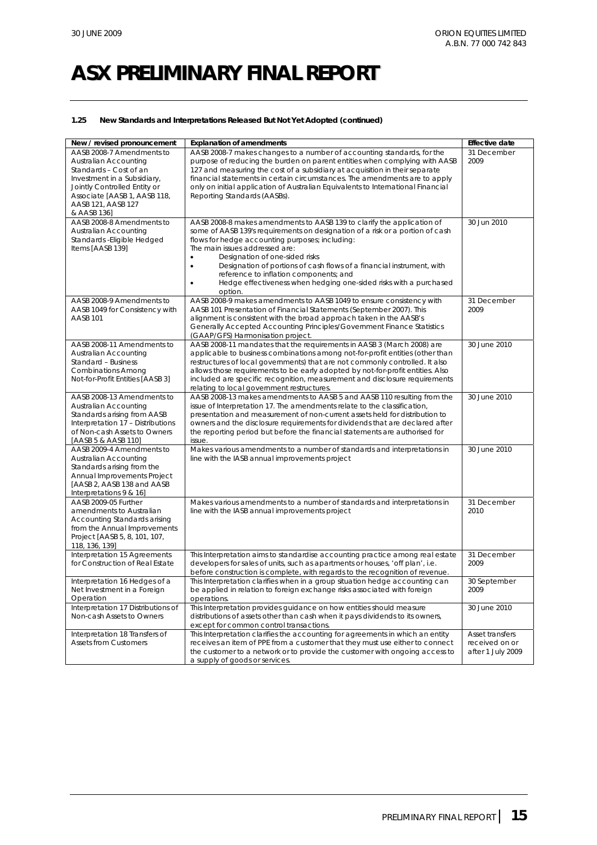## **1.25 New Standards and Interpretations Released But Not Yet Adopted (continued)**

| New / revised pronouncement        | <b>Explanation of amendments</b>                                                   | <b>Effective date</b> |
|------------------------------------|------------------------------------------------------------------------------------|-----------------------|
| AASB 2008-7 Amendments to          | AASB 2008-7 makes changes to a number of accounting standards, for the             | 31 December           |
| Australian Accounting              | purpose of reducing the burden on parent entities when complying with AASB         | 2009                  |
| Standards - Cost of an             | 127 and measuring the cost of a subsidiary at acquisition in their separate        |                       |
| Investment in a Subsidiary,        | financial statements in certain circumstances. The amendments are to apply         |                       |
| Jointly Controlled Entity or       | only on initial application of Australian Equivalents to International Financial   |                       |
| Associate [AASB 1, AASB 118,       | Reporting Standards (AASBs).                                                       |                       |
| AASB 121, AASB 127                 |                                                                                    |                       |
| & AASB 136]                        |                                                                                    |                       |
|                                    |                                                                                    | 30 Jun 2010           |
| AASB 2008-8 Amendments to          | AASB 2008-8 makes amendments to AASB 139 to clarify the application of             |                       |
| Australian Accounting              | some of AASB 139's requirements on designation of a risk or a portion of cash      |                       |
| Standards - Eligible Hedged        | flows for hedge accounting purposes; including:                                    |                       |
| Items [AASB 139]                   | The main issues addressed are:                                                     |                       |
|                                    | Designation of one-sided risks<br>$\bullet$                                        |                       |
|                                    | Designation of portions of cash flows of a financial instrument, with<br>$\bullet$ |                       |
|                                    | reference to inflation components; and                                             |                       |
|                                    | Hedge effectiveness when hedging one-sided risks with a purchased<br>$\bullet$     |                       |
|                                    | option.                                                                            |                       |
| AASB 2008-9 Amendments to          | AASB 2008-9 makes amendments to AASB 1049 to ensure consistency with               | 31 December           |
| AASB 1049 for Consistency with     | AASB 101 Presentation of Financial Statements (September 2007). This               | 2009                  |
| AASB 101                           | alignment is consistent with the broad approach taken in the AASB's                |                       |
|                                    |                                                                                    |                       |
|                                    | Generally Accepted Accounting Principles/Government Finance Statistics             |                       |
|                                    | (GAAP/GFS) Harmonisation project.                                                  |                       |
| AASB 2008-11 Amendments to         | AASB 2008-11 mandates that the requirements in AASB 3 (March 2008) are             | 30 June 2010          |
| Australian Accounting              | applicable to business combinations among not-for-profit entities (other than      |                       |
| Standard - Business                | restructures of local governments) that are not commonly controlled. It also       |                       |
| <b>Combinations Among</b>          | allows those requirements to be early adopted by not-for-profit entities. Also     |                       |
| Not-for-Profit Entities [AASB 3]   | included are specific recognition, measurement and disclosure requirements         |                       |
|                                    | relating to local government restructures.                                         |                       |
| AASB 2008-13 Amendments to         | AASB 2008-13 makes amendments to AASB 5 and AASB 110 resulting from the            | 30 June 2010          |
| Australian Accounting              | issue of Interpretation 17. The amendments relate to the classification,           |                       |
| Standards arising from AASB        | presentation and measurement of non-current assets held for distribution to        |                       |
| Interpretation 17 - Distributions  | owners and the disclosure requirements for dividends that are declared after       |                       |
| of Non-cash Assets to Owners       | the reporting period but before the financial statements are authorised for        |                       |
| [AASB 5 & AASB 110]                | issue.                                                                             |                       |
| AASB 2009-4 Amendments to          | Makes various amendments to a number of standards and interpretations in           | 30 June 2010          |
|                                    |                                                                                    |                       |
| Australian Accounting              | line with the IASB annual improvements project                                     |                       |
| Standards arising from the         |                                                                                    |                       |
| Annual Improvements Project        |                                                                                    |                       |
| [AASB 2, AASB 138 and AASB         |                                                                                    |                       |
| Interpretations 9 & 16]            |                                                                                    |                       |
| AASB 2009-05 Further               | Makes various amendments to a number of standards and interpretations in           | 31 December           |
| amendments to Australian           | line with the IASB annual improvements project                                     | 2010                  |
| Accounting Standards arising       |                                                                                    |                       |
| from the Annual Improvements       |                                                                                    |                       |
| Project [AASB 5, 8, 101, 107,      |                                                                                    |                       |
| 118, 136, 139]                     |                                                                                    |                       |
| Interpretation 15 Agreements       | This Interpretation aims to standardise accounting practice among real estate      | 31 December           |
| for Construction of Real Estate    | developers for sales of units, such as apartments or houses, 'off plan', i.e.      | 2009                  |
|                                    | before construction is complete, with regards to the recognition of revenue.       |                       |
|                                    |                                                                                    |                       |
| Interpretation 16 Hedges of a      | This Interpretation clarifies when in a group situation hedge accounting can       | 30 September          |
| Net Investment in a Foreign        | be applied in relation to foreign exchange risks associated with foreign           | 2009                  |
| Operation                          | operations.                                                                        |                       |
| Interpretation 17 Distributions of | This Interpretation provides guidance on how entities should measure               | 30 June 2010          |
| Non-cash Assets to Owners          | distributions of assets other than cash when it pays dividends to its owners,      |                       |
|                                    | except for common control transactions.                                            |                       |
| Interpretation 18 Transfers of     | This Interpretation clarifies the accounting for agreements in which an entity     | Asset transfers       |
| <b>Assets from Customers</b>       | receives an item of PPE from a customer that they must use either to connect       | received on or        |
|                                    | the customer to a network or to provide the customer with ongoing access to        | after 1 July 2009     |
|                                    | a supply of goods or services.                                                     |                       |
|                                    |                                                                                    |                       |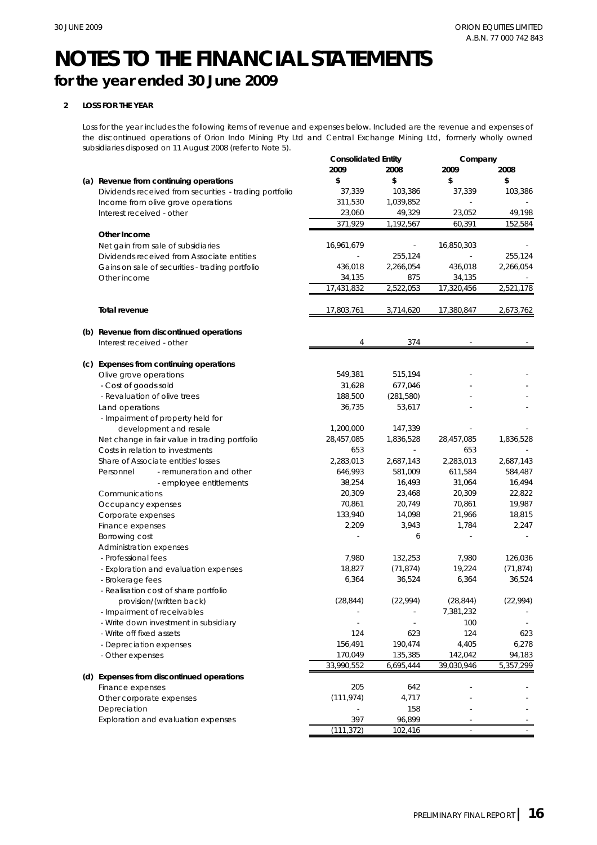# **for the year ended 30 June 2009**

# **2 LOSS FOR THE YEAR**

Loss for the year includes the following items of revenue and expenses below. Included are the revenue and expenses of the discontinued operations of Orion Indo Mining Pty Ltd and Central Exchange Mining Ltd, formerly wholly owned subsidiaries disposed on 11 August 2008 (refer to Note 5).

|                                                        | <b>Consolidated Entity</b> |            | Company    |           |
|--------------------------------------------------------|----------------------------|------------|------------|-----------|
|                                                        | 2009                       | 2008       | 2009       | 2008      |
| (a) Revenue from continuing operations                 | \$                         | \$         | \$         | \$        |
| Dividends received from securities - trading portfolio | 37,339                     | 103,386    | 37,339     | 103,386   |
| Income from olive grove operations                     | 311,530                    | 1,039,852  |            |           |
| Interest received - other                              | 23,060                     | 49,329     | 23,052     | 49,198    |
|                                                        | 371,929                    | 1,192,567  | 60,391     | 152,584   |
| Other Income                                           |                            |            |            |           |
| Net gain from sale of subsidiaries                     | 16,961,679                 |            | 16,850,303 |           |
| Dividends received from Associate entities             |                            | 255,124    |            | 255,124   |
| Gains on sale of securities - trading portfolio        | 436,018                    | 2,266,054  | 436,018    | 2,266,054 |
| Other income                                           | 34,135                     | 875        | 34,135     |           |
|                                                        | 17,431,832                 | 2,522,053  | 17,320,456 | 2,521,178 |
|                                                        |                            |            |            |           |
| Total revenue                                          | 17,803,761                 | 3,714,620  | 17,380,847 | 2,673,762 |
| (b) Revenue from discontinued operations               |                            |            |            |           |
| Interest received - other                              | 4                          | 374        |            |           |
| (c) Expenses from continuing operations                |                            |            |            |           |
| Olive grove operations                                 | 549,381                    | 515,194    |            |           |
| - Cost of goods sold                                   | 31,628                     | 677,046    |            |           |
| - Revaluation of olive trees                           | 188,500                    | (281, 580) |            |           |
| Land operations                                        | 36,735                     | 53,617     |            |           |
| - Impairment of property held for                      |                            |            |            |           |
| development and resale                                 | 1,200,000                  | 147,339    |            |           |
| Net change in fair value in trading portfolio          | 28,457,085                 | 1,836,528  | 28,457,085 | 1,836,528 |
| Costs in relation to investments                       | 653                        |            | 653        |           |
| Share of Associate entities' losses                    | 2,283,013                  | 2,687,143  | 2,283,013  | 2,687,143 |
| - remuneration and other<br>Personnel                  | 646,993                    | 581,009    | 611,584    | 584,487   |
| - employee entitlements                                | 38,254                     | 16,493     | 31,064     | 16,494    |
| Communications                                         | 20,309                     | 23,468     | 20,309     | 22,822    |
|                                                        | 70,861                     | 20,749     | 70,861     | 19,987    |
| Occupancy expenses                                     | 133,940                    | 14,098     | 21,966     | 18,815    |
| Corporate expenses                                     | 2,209                      | 3,943      | 1,784      | 2,247     |
| Finance expenses<br>Borrowing cost                     |                            | 6          |            |           |
| Administration expenses                                |                            |            |            |           |
| - Professional fees                                    | 7,980                      | 132,253    | 7,980      | 126,036   |
|                                                        | 18,827                     | (71, 874)  | 19,224     | (71, 874) |
| - Exploration and evaluation expenses                  | 6,364                      | 36,524     | 6,364      | 36,524    |
| - Brokerage fees                                       |                            |            |            |           |
| - Realisation cost of share portfolio                  |                            | (22, 994)  |            |           |
| provision/(written back)                               | (28, 844)                  |            | (28, 844)  | (22, 994) |
| - Impairment of receivables                            |                            |            | 7,381,232  |           |
| - Write down investment in subsidiary                  |                            |            | 100        |           |
| - Write off fixed assets                               | 124                        | 623        | 124        | 623       |
| - Depreciation expenses                                | 156,491                    | 190,474    | 4,405      | 6,278     |
| - Other expenses                                       | 170,049                    | 135,385    | 142,042    | 94,183    |
| (d) Expenses from discontinued operations              | 33,990,552                 | 6,695,444  | 39,030,946 | 5,357,299 |
| Finance expenses                                       | 205                        | 642        |            |           |
| Other corporate expenses                               | (111, 974)                 | 4,717      |            |           |
| Depreciation                                           |                            | 158        |            |           |
| Exploration and evaluation expenses                    | 397                        | 96,899     |            |           |
|                                                        | (111, 372)                 | 102,416    |            |           |
|                                                        |                            |            |            |           |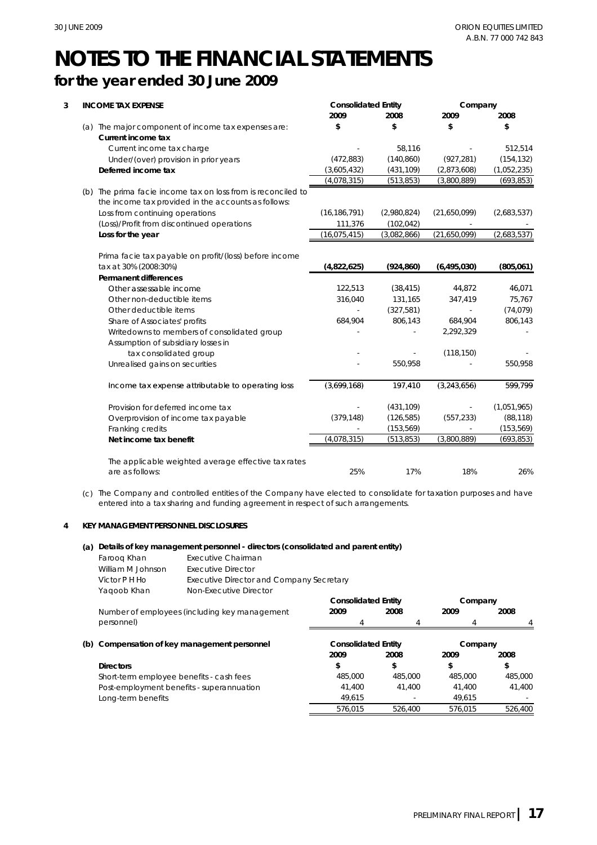-

-

-

# **NOTES TO THE FINANCIAL STATEMENTS for the year ended 30 June 2009**

#### **3 INCOME TAX EXPENSE** (a) The major component of income tax expenses are: **Current income tax** Current income tax charge Under/(over) provision in prior years **Deferred income tax** (b) The prima facie income tax on loss from is reconciled to The prima facie income tax on loss from is reconciled - (472,883) **\$ 2009 \$ Consolidated Entity \$ 2008** (431,109) (140,860) 58,116 **\$ 2008** (1,052,235) (154,132) **2009** 512,514 (927,281) (2,873,608) (3,800,889) (693,853) (3,605,432) (513,853) **Company** (4,078,315) Loss from continuing operations (Loss)/Profit from discontinued operations **Loss for the year Permanent differences** Other assessable income the income tax provided in the accounts as follows: (2,683,537) **(805,061)** 46,071 - (2,980,824) **(924,860)** 111,376 122,513 (2,683,537) (16,186,791) (102,042) (16,075,415) (3,082,866) (21,650,099) (21,650,099) (38,415) 44,872 Prima facie tax payable on profit/(loss) before income tax at 30% (2008:30%) **(4,822,625) (6,495,030)** Other non-deductible items Other deductible items Share of Associates' profits Writedowns to members of consolidated group Assumption of subsidiary losses in tax consolidated group Unrealised gains on securities Income tax expense attributable to operating loss - 316,040 197 410 684,904 806,143 806,143 75,767 131,165 - -  $(3, 243, 656)$  - 550,958 2,292,329 599 799 (74,079) 684,904 - 550,958 (327,581) -  $(3,699,168)$  - 347,419  $(118.150)$ Provision for deferred income tax Overprovision of income tax payable Franking credits **Net income tax benefit** - (153,569) (3,699,168)<br>
197,410<br>
(379,148)<br>
(126,585)<br>
(4,078,315)<br>
(513,853) - (699,168) 197,410 (3,243,656)<br>- (431,109)<br>(379,148) (126,585) (557,233)  $(1,051,965)$ (693,853) (431,109) (153,569) (3,800,889) (513,853) - (3,699,168) 197,410 (3,243,656) 599,799<br>
(379,148) (126,585) (557,233) (88,118)<br>
(4,078,315) (513,853) (3,800,889) (693,853)<br>
(25% 17% 18% 26% (557,233) (88,118) -

The applicable weighted average effective tax rates are as follows: 25%

(c) The Company and controlled entities of the Company have elected to consolidate for taxation purposes and have entered into a tax sharing and funding agreement in respect of such arrangements.

## **4 KEY MANAGEMENT PERSONNEL DISCLOSURES**

## **(a) Details of key management personnel - directors (consolidated and parent entity)**

| Faroog Khan       | Executive Chairman                       |
|-------------------|------------------------------------------|
| William M.Johnson | Executive Director                       |
| Victor P H Ho     | Executive Director and Company Secretary |
| Yagoob Khan       | Non-Executive Director                   |

**(b) Compensation of key management personnel Directors \$ Consolidated Entity** 4 **2009 2009 2008 2009 2009 2008 Company** 4 **Company 2008 2008 \$ \$ Consolidated Entity**  $\overline{A}$ Number of employees (including key management personnel) **\$** 4 Short-term employee benefits - cash fees Post-employment benefits - superannuation Long-term benefits 41,400 41,400 576,015 526,400 576,015 485,000 485,000 485,000 485,000 41,400 526,400 49,615 41,400 49,615

17% 18%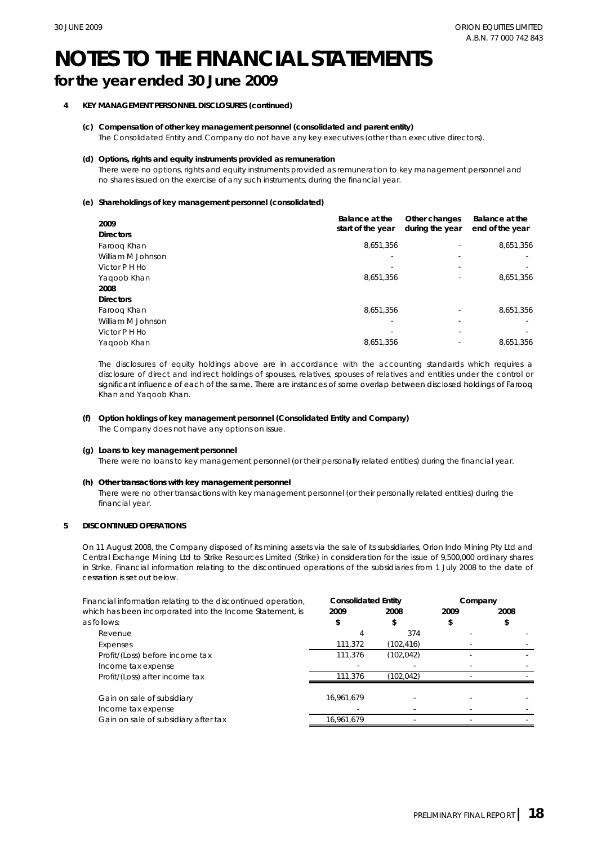# **for the year ended 30 June 2009**

# **4 KEY MANAGEMENT PERSONNEL DISCLOSURES (continued)**

**(c) Compensation of other key management personnel (consolidated and parent entity)** The Consolidated Entity and Company do not have any key executives (other than executive directors).

### **(d) Options, rights and equity instruments provided as remuneration**

There were no options, rights and equity instruments provided as remuneration to key management personnel and no shares issued on the exercise of any such instruments, during the financial year.

### **(e) Shareholdings of key management personnel (consolidated)**

| 2009<br><b>Directors</b> | Balance at the<br>start of the year | Other changes<br>during the year | Balance at the<br>end of the year |
|--------------------------|-------------------------------------|----------------------------------|-----------------------------------|
| Faroog Khan              | 8,651,356                           |                                  | 8,651,356                         |
| William M Johnson        | $\overline{\phantom{a}}$            |                                  |                                   |
| Victor P H Ho            | $\overline{\phantom{a}}$            |                                  |                                   |
| Yaqoob Khan              | 8,651,356                           |                                  | 8,651,356                         |
| 2008                     |                                     |                                  |                                   |
| <b>Directors</b>         |                                     |                                  |                                   |
| Faroog Khan              | 8.651.356                           |                                  | 8.651.356                         |
| William M Johnson        | $\blacksquare$                      |                                  |                                   |
| Victor P H Ho            | $\overline{\phantom{a}}$            |                                  |                                   |
| Yaqoob Khan              | 8,651,356                           |                                  | 8.651.356                         |

The disclosures of equity holdings above are in accordance with the accounting standards which requires a disclosure of direct and indirect holdings of spouses, relatives, spouses of relatives and entities under the control or significant influence of each of the same. There are instances of some overlap between disclosed holdings of Farooq Khan and Yaqoob Khan.

### **(f) Option holdings of key management personnel (Consolidated Entity and Company)** The Company does not have any options on issue.

### **(g) Loans to key management personnel**

There were no loans to key management personnel (or their personally related entities) during the financial year.

### **(h) Other transactions with key management personnel transactions with key**

There were no other transactions with key management personnel (or their personally related entities) during the financial year.

## **5 DISCONTINUED OPERATIONS**

On 11 August 2008, the Company disposed of its mining assets via the sale of its subsidiaries, Orion Indo Mining Pty Ltd and Central Exchange Mining Ltd to Strike Resources Limited (Strike) in consideration for the issue of 9,500,000 ordinary shares in Strike. Financial information relating to the discontinued operations of the subsidiaries from 1 July 2008 to the date of cessation is set out below.

| Financial information relating to the discontinued operation, | <b>Consolidated Entity</b> |           | Company |      |
|---------------------------------------------------------------|----------------------------|-----------|---------|------|
| which has been incorporated into the Income Statement, is     | 2009                       | 2008      | 2009    | 2008 |
| as follows:                                                   |                            | \$        |         |      |
| Revenue                                                       |                            | 374       |         |      |
| Expenses                                                      | 111,372                    | (102,416) |         |      |
| Profit/(Loss) before income tax                               | 111,376                    | (102,042) |         |      |
| Income tax expense                                            |                            |           |         |      |
| Profit/(Loss) after income tax                                | 111.376                    | (102.042) |         |      |
|                                                               |                            |           |         |      |
| Gain on sale of subsidiary                                    | 16.961.679                 |           |         |      |
| Income tax expense                                            |                            |           |         |      |
| Gain on sale of subsidiary after tax                          | 16.961.679                 |           |         |      |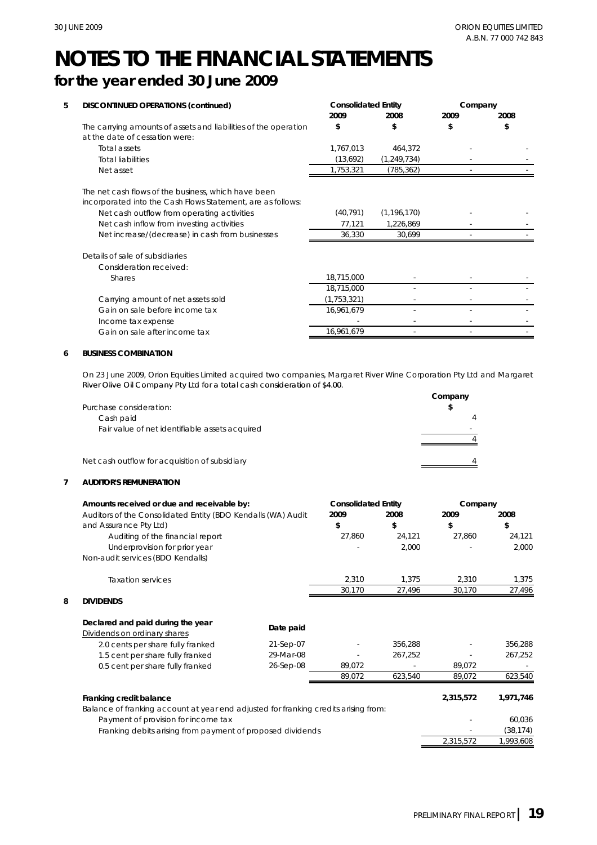- -

-

-

-

-

-

 $\sim$  -  $\sim$  -  $\sim$  -  $\sim$  -  $\sim$  -  $\sim$  -  $\sim$  -  $\sim$ 

-

# **NOTES TO THE FINANCIAL STATEMENTS for the year ended 30 June 2009**

#### **5 DISCONTINUED OPERATIONS (continued)** Total assets Total liabilities Net asset (13,692) (1,249,734)  $1.753.321$   $(785.362)$ The net cash flows of the business, which have been - 464,372 **Consolidated Entity Company 2008** The carrying amounts of assets and liabilities of the operation **\$** at the date of cessation were: **2009** 1,767,013 **2008 2009** - **\$\$\$** Net cash outflow from operating activities Net cash inflow from investing activities Net increase/(decrease) in cash from businesses Consideration received: Shares - - 18,715,000 36,330 - Details of sale of subsidiaries 30,699 18,715,000 - 18,715,000 incorporated into the Cash Flows Statement, are as follows: (40,791) - 1,226,869 77,121  $(1,196,170)$ Carrying amount of net assets sold Gain on sale before income tax 16,961,679 - -  $(1.753.321)$  - -

### **6 BUSINESS COMBINATION**

Income tax expense

Gain on sale after income tax

On 23 June 2009, Orion Equities Limited acquired two companies, Margaret River Wine Corporation Pty Ltd and Margaret River Olive Oil Company Pty Ltd for a total cash consideration of \$4 00 \$4.00.

16,961,679 -

|                                                | Company |
|------------------------------------------------|---------|
| Purchase consideration:                        |         |
| Cash paid                                      |         |
| Fair value of net identifiable assets acquired |         |
|                                                |         |
| Net cash outflow for acquisition of subsidiary |         |

### **7 AUDITOR'S REMUNERATION**

|   | Amounts received or due and receivable by:                                          |           | <b>Consolidated Entity</b> |         | Company   |           |
|---|-------------------------------------------------------------------------------------|-----------|----------------------------|---------|-----------|-----------|
|   | Auditors of the Consolidated Entity (BDO Kendalls (WA) Audit                        |           | 2009                       | 2008    | 2009      | 2008      |
|   | and Assurance Pty Ltd)                                                              |           | \$                         | \$      | \$        | \$        |
|   | Auditing of the financial report                                                    |           | 27,860                     | 24,121  | 27,860    | 24,121    |
|   | Underprovision for prior year                                                       |           |                            | 2,000   |           | 2,000     |
|   | Non-audit services (BDO Kendalls)                                                   |           |                            |         |           |           |
|   | <b>Taxation services</b>                                                            |           | 2,310                      | 1,375   | 2,310     | 1,375     |
|   |                                                                                     |           | 30,170                     | 27,496  | 30,170    | 27,496    |
| 8 | <b>DIVIDENDS</b>                                                                    |           |                            |         |           |           |
|   | Declared and paid during the year                                                   | Date paid |                            |         |           |           |
|   | Dividends on ordinary shares                                                        |           |                            |         |           |           |
|   | 2.0 cents per share fully franked                                                   | 21-Sep-07 |                            | 356,288 |           | 356,288   |
|   | 1.5 cent per share fully franked                                                    | 29-Mar-08 |                            | 267,252 |           | 267,252   |
|   | 0.5 cent per share fully franked                                                    | 26-Sep-08 | 89,072                     |         | 89,072    |           |
|   |                                                                                     |           | 89,072                     | 623,540 | 89,072    | 623,540   |
|   | Franking credit balance                                                             |           |                            |         | 2,315,572 | 1,971,746 |
|   | Balance of franking account at year end adjusted for franking credits arising from: |           |                            |         |           |           |
|   | Payment of provision for income tax                                                 |           |                            |         |           | 60,036    |
|   | Franking debits arising from payment of proposed dividends                          |           |                            |         |           | (38, 174) |
|   |                                                                                     |           |                            |         | 2,315,572 | 1,993,608 |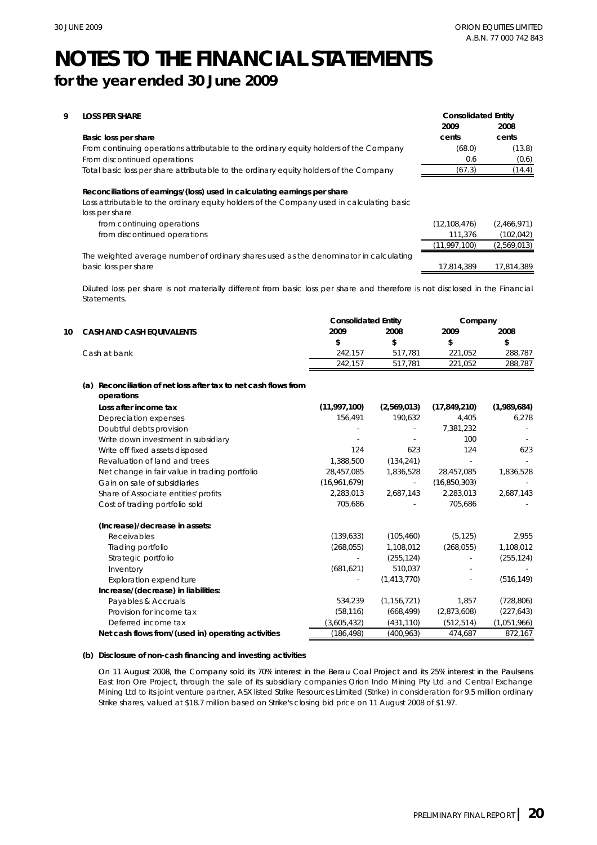| 9 | <b>LOSS PER SHARE</b>                                                                                       | <b>Consolidated Entity</b> |             |  |
|---|-------------------------------------------------------------------------------------------------------------|----------------------------|-------------|--|
|   |                                                                                                             | 2009                       | 2008        |  |
|   | Basic loss per share                                                                                        | cents                      | cents       |  |
|   | From continuing operations attributable to the ordinary equity holders of the Company                       | (68.0)                     | (13.8)      |  |
|   | From discontinued operations                                                                                | 0.6                        | (0.6)       |  |
|   | Total basic loss per share attributable to the ordinary equity holders of the Company                       | (67.3)                     | (14.4)      |  |
|   | Loss attributable to the ordinary equity holders of the Company used in calculating basic<br>loss per share |                            |             |  |
|   | from continuing operations                                                                                  | (12, 108, 476)             | (2,466,971) |  |
|   | from discontinued operations                                                                                | 111,376                    | (102, 042)  |  |
|   |                                                                                                             | (11, 997, 100)             | (2,569,013) |  |
|   | The weighted average number of ordinary shares used as the denominator in calculating                       |                            |             |  |
|   | basic loss per share                                                                                        | 17.814.389                 | 17.814.389  |  |

Diluted loss per share is not materially different from basic loss per share and therefore is not disclosed in the Financial Statements.

|    |                                                                                  | <b>Consolidated Entity</b> |               | Company        |             |
|----|----------------------------------------------------------------------------------|----------------------------|---------------|----------------|-------------|
| 10 | <b>CASH AND CASH EQUIVALENTS</b>                                                 | 2009                       | 2008          | 2009           | 2008        |
|    |                                                                                  | \$                         | \$            | \$             | \$          |
|    | Cash at bank                                                                     | 242,157                    | 517,781       | 221,052        | 288,787     |
|    |                                                                                  | 242,157                    | 517,781       | 221,052        | 288,787     |
|    | Reconciliation of net loss after tax to net cash flows from<br>(a)<br>operations |                            |               |                |             |
|    | Loss after income tax                                                            | (11,997,100)               | (2,569,013)   | (17, 849, 210) | (1,989,684) |
|    | Depreciation expenses                                                            | 156,491                    | 190,632       | 4,405          | 6,278       |
|    | Doubtful debts provision                                                         |                            |               | 7,381,232      |             |
|    | Write down investment in subsidiary                                              |                            |               | 100            |             |
|    | Write off fixed assets disposed                                                  | 124                        | 623           | 124            | 623         |
|    | Revaluation of land and trees                                                    | 1,388,500                  | (134, 241)    |                |             |
|    | Net change in fair value in trading portfolio                                    | 28,457,085                 | 1,836,528     | 28,457,085     | 1,836,528   |
|    | Gain on sale of subsidiaries                                                     | (16,961,679)               | ÷,            | (16, 850, 303) |             |
|    | Share of Associate entities' profits                                             | 2,283,013                  | 2,687,143     | 2,283,013      | 2,687,143   |
|    | Cost of trading portfolio sold                                                   | 705,686                    |               | 705,686        |             |
|    | (Increase)/decrease in assets:                                                   |                            |               |                |             |
|    | Receivables                                                                      | (139, 633)                 | (105, 460)    | (5, 125)       | 2,955       |
|    | Trading portfolio                                                                | (268, 055)                 | 1,108,012     | (268, 055)     | 1,108,012   |
|    | Strategic portfolio                                                              |                            | (255, 124)    |                | (255, 124)  |
|    | Inventory                                                                        | (681, 621)                 | 510,037       |                |             |
|    | <b>Exploration expenditure</b>                                                   |                            | (1, 413, 770) |                | (516, 149)  |
|    | Increase/(decrease) in liabilities:                                              |                            |               |                |             |
|    | Payables & Accruals                                                              | 534,239                    | (1, 156, 721) | 1,857          | (728, 806)  |
|    | Provision for income tax                                                         | (58, 116)                  | (668, 499)    | (2,873,608)    | (227, 643)  |
|    | Deferred income tax                                                              | (3,605,432)                | (431, 110)    | (512, 514)     | (1,051,966) |
|    | Net cash flows from/(used in) operating activities                               | (186, 498)                 | (400, 963)    | 474,687        | 872,167     |

### **(b) Disclosure of non-cash financing and investing activities**

On 11 August 2008, the Company sold its 70% interest in the Berau Coal Project and its 25% interest in the Paulsens East Iron Ore Project, through the sale of its subsidiary companies Orion Indo Mining Pty Ltd and Central Exchange Mining Ltd to its joint venture partner, ASX listed Strike Resources Limited (Strike) in consideration for 9.5 million ordinary Strike shares, valued at \$18.7 million based on Strike's closing bid price on 11 August 2008 of \$1.97.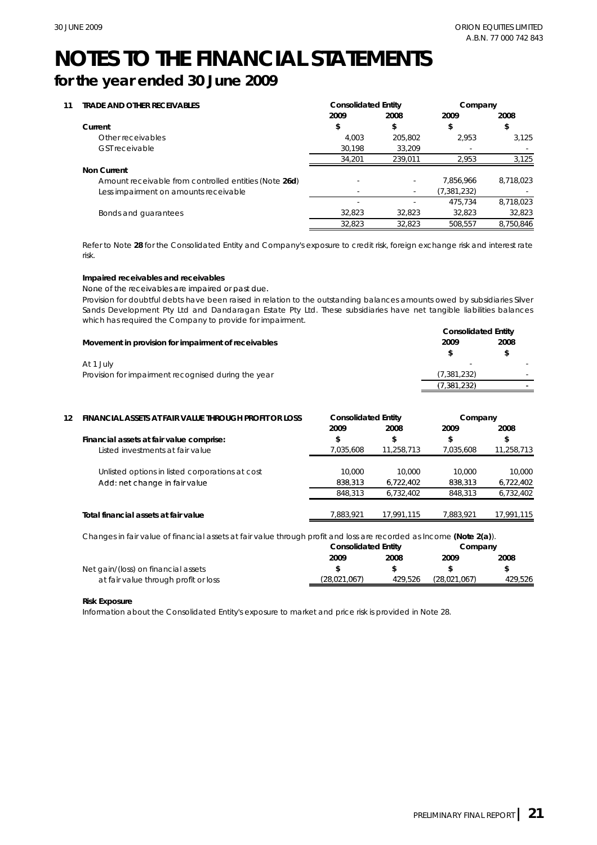# **for the year ended 30 June 2009**

| 11 | <b>TRADE AND OTHER RECEIVABLES</b>                    | <b>Consolidated Entity</b> |         | Company                  |           |
|----|-------------------------------------------------------|----------------------------|---------|--------------------------|-----------|
|    |                                                       | 2009                       | 2008    | 2009                     | 2008      |
|    | Current                                               | \$                         | \$      |                          | \$        |
|    | Other receivables                                     | 4.003                      | 205.802 | 2.953                    | 3.125     |
|    | <b>GST</b> receivable                                 | 30,198                     | 33.209  | $\overline{\phantom{a}}$ |           |
|    |                                                       | 34.201                     | 239.011 | 2.953                    | 3,125     |
|    | <b>Non Current</b>                                    |                            |         |                          |           |
|    | Amount receivable from controlled entities (Note 26d) |                            | ٠       | 7.856.966                | 8.718.023 |
|    | Less impairment on amounts receivable                 |                            | ٠       | (7,381,232)              |           |
|    |                                                       |                            |         | 475.734                  | 8,718,023 |
|    | Bonds and quarantees                                  | 32.823                     | 32.823  | 32.823                   | 32,823    |
|    |                                                       | 32.823                     | 32.823  | 508.557                  | 8.750.846 |

Refer to Note **28** for the Consolidated Entity and Company's exposure to credit risk, foreign exchange risk and interest rate risk.

## **Impaired receivables and receivables**

### None of the receivables are impaired or past due.

Provision for doubtful debts have been raised in relation to the outstanding balances amounts owed by subsidiaries Silver Sands Development Pty Ltd and Dandaragan Estate Pty Ltd. These subsidiaries have net tangible liabilities balances which has required the Company to provide for impairment.

|                                                     | <b>Consolidated Entity</b> |      |  |  |
|-----------------------------------------------------|----------------------------|------|--|--|
| Movement in provision for impairment of receivables | 2009                       | 2008 |  |  |
|                                                     |                            |      |  |  |
| At 1 July                                           |                            |      |  |  |
| Provision for impairment recognised during the year | (7, 381, 232)              |      |  |  |
|                                                     | (7, 381, 232)              |      |  |  |

|    |                                                                                                                     |                            |            | (7,381,232)  |            |
|----|---------------------------------------------------------------------------------------------------------------------|----------------------------|------------|--------------|------------|
| 12 | FINANCIAL ASSETS AT FAIR VALUE THROUGH PROFIT OR LOSS                                                               | <b>Consolidated Entity</b> |            | Company      |            |
|    |                                                                                                                     | 2009                       | 2008       | 2009         | 2008       |
|    | Financial assets at fair value comprise:                                                                            | \$                         | \$         | \$           | \$         |
|    | Listed investments at fair value                                                                                    | 7,035,608                  | 11,258,713 | 7,035,608    | 11,258,713 |
|    | Unlisted options in listed corporations at cost                                                                     | 10,000                     | 10,000     | 10,000       | 10,000     |
|    | Add: net change in fair value                                                                                       | 838,313                    | 6,722,402  | 838,313      | 6,722,402  |
|    |                                                                                                                     | 848,313                    | 6,732,402  | 848,313      | 6,732,402  |
|    | Total financial assets at fair value                                                                                | 7,883,921                  | 17,991,115 | 7,883,921    | 17,991,115 |
|    | Changes in fair value of financial assets at fair value through profit and loss are recorded as Income (Note 2(a)). |                            |            |              |            |
|    |                                                                                                                     | <b>Consolidated Entity</b> |            | Company      |            |
|    |                                                                                                                     | 2009                       | 2008       | 2009         | 2008       |
|    | Net gain/(loss) on financial assets                                                                                 | \$                         | \$         | \$           | \$         |
|    | at fair value through profit or loss                                                                                | (28,021,067)               | 429,526    | (28,021,067) | 429,526    |

|                                      |              | <b>Consolidated Entity</b> |              | Company |  |
|--------------------------------------|--------------|----------------------------|--------------|---------|--|
|                                      | 2009         | 2008                       | 2009         | 2008    |  |
| Net gain/(loss) on financial assets  |              |                            |              |         |  |
| at fair value through profit or loss | (28.021.067) | 429.526                    | (28.021.067) | 429.526 |  |

### **Risk Exposure**

Information about the Consolidated Entity's exposure to market and price risk is provided in Note 28.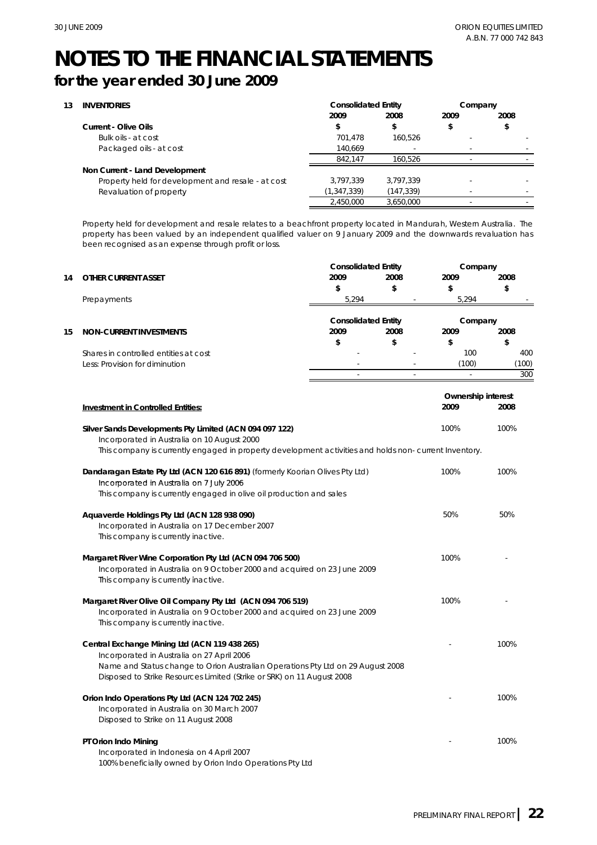# **for the year ended 30 June 2009**

| 13 | <b>INVENTORIES</b>                                 | <b>Consolidated Entity</b> |            | Company |      |
|----|----------------------------------------------------|----------------------------|------------|---------|------|
|    |                                                    | 2009                       | 2008       | 2009    | 2008 |
|    | Current - Olive Oils                               |                            | \$         |         |      |
|    | Bulk oils - at cost                                | 701.478                    | 160.526    | ٠       |      |
|    | Packaged oils - at cost                            | 140,669                    | ۰          |         |      |
|    |                                                    | 842.147                    | 160.526    |         |      |
|    | Non Current - Land Development                     |                            |            |         |      |
|    | Property held for development and resale - at cost | 3.797.339                  | 3.797.339  |         |      |
|    | Revaluation of property                            | (1, 347, 339)              | (147, 339) |         |      |
|    |                                                    | 2,450,000                  | 3.650.000  |         |      |

Property held for development and resale relates to a beachfront property located in Mandurah, Western Australia. The property has been valued by an independent qualified valuer on 9 January 2009 and the downwards revaluation has been recognised as an expense through profit or loss.

|    |                                       |                            | <b>Consolidated Entity</b> |         | Company |  |
|----|---------------------------------------|----------------------------|----------------------------|---------|---------|--|
| 14 | OTHER CURRENT ASSET                   | 2009                       | 2008                       | 2009    | 2008    |  |
|    |                                       |                            |                            |         |         |  |
|    | Prepayments                           | 5.294                      |                            | 5.294   |         |  |
|    |                                       | <b>Consolidated Entity</b> |                            | Company |         |  |
| 15 | NON-CURRENT INVESTMENTS               | 2009                       | 2008                       | 2009    | 2008    |  |
|    |                                       |                            | S                          |         | \$      |  |
|    | Shares in controlled entities at cost | $\overline{\phantom{a}}$   | ۰                          | 100     | 400     |  |
|    | Less: Provision for diminution        |                            |                            | (100)   | (100)   |  |
|    |                                       |                            |                            |         | 300     |  |

|                                                                                                        | Ownership interest |      |  |
|--------------------------------------------------------------------------------------------------------|--------------------|------|--|
| <b>Investment in Controlled Entities:</b>                                                              | 2009               | 2008 |  |
|                                                                                                        |                    |      |  |
| Silver Sands Developments Pty Limited (ACN 094 097 122)                                                | 100%               | 100% |  |
| Incorporated in Australia on 10 August 2000                                                            |                    |      |  |
| This company is currently engaged in property development activities and holds non- current Inventory. |                    |      |  |
| Dandaragan Estate Pty Ltd (ACN 120 616 891) (formerly Koorian Olives Pty Ltd)                          | 100%               | 100% |  |
| Incorporated in Australia on 7 July 2006                                                               |                    |      |  |
| This company is currently engaged in olive oil production and sales                                    |                    |      |  |
| Aquaverde Holdings Pty Ltd (ACN 128 938 090)                                                           | 50%                | 50%  |  |
| Incorporated in Australia on 17 December 2007                                                          |                    |      |  |
| This company is currently inactive.                                                                    |                    |      |  |
|                                                                                                        |                    |      |  |
| Margaret River Wine Corporation Pty Ltd (ACN 094 706 500)                                              | 100%               |      |  |
| Incorporated in Australia on 9 October 2000 and acquired on 23 June 2009                               |                    |      |  |
| This company is currently inactive.                                                                    |                    |      |  |
| Margaret River Olive Oil Company Pty Ltd (ACN 094 706 519)                                             | 100%               |      |  |
| Incorporated in Australia on 9 October 2000 and acquired on 23 June 2009                               |                    |      |  |
| This company is currently inactive.                                                                    |                    |      |  |
| Central Exchange Mining Ltd (ACN 119 438 265)                                                          |                    | 100% |  |
| Incorporated in Australia on 27 April 2006                                                             |                    |      |  |
| Name and Status change to Orion Australian Operations Pty Ltd on 29 August 2008                        |                    |      |  |
| Disposed to Strike Resources Limited (Strike or SRK) on 11 August 2008                                 |                    |      |  |
|                                                                                                        |                    |      |  |
| Orion Indo Operations Pty Ltd (ACN 124 702 245)                                                        |                    | 100% |  |
| Incorporated in Australia on 30 March 2007                                                             |                    |      |  |
| Disposed to Strike on 11 August 2008                                                                   |                    |      |  |
| PT Orion Indo Mining                                                                                   |                    | 100% |  |
| Incorporated in Indonesia on 4 April 2007                                                              |                    |      |  |
| 100% beneficially owned by Orion Indo Operations Pty Ltd                                               |                    |      |  |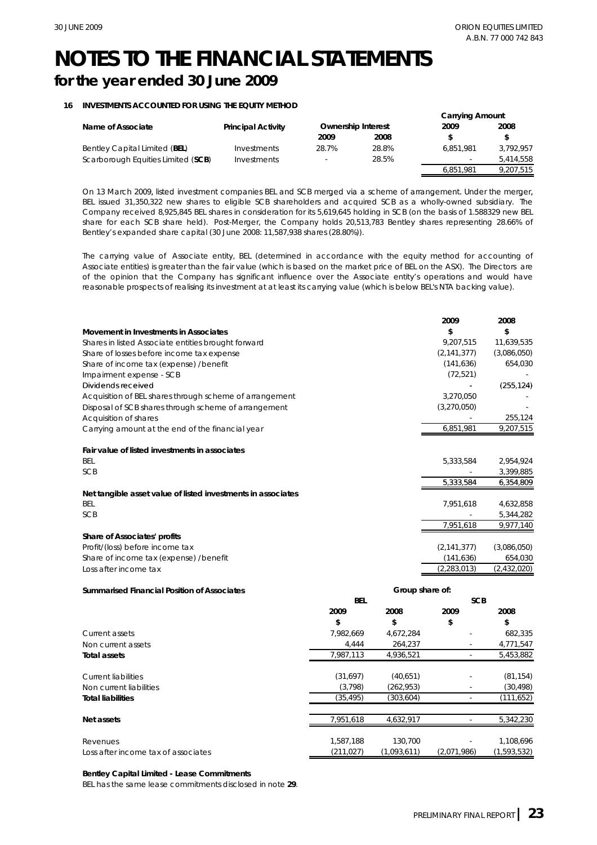## **16 INVESTMENTS ACCOUNTED FOR USING THE EQUITY METHOD**

|                                    |                           |                           |       | <b>Carrying Amount</b> |           |
|------------------------------------|---------------------------|---------------------------|-------|------------------------|-----------|
| Name of Associate                  | <b>Principal Activity</b> | <b>Ownership Interest</b> |       | 2009                   | 2008      |
|                                    |                           | 2009                      | 2008  |                        |           |
| Bentley Capital Limited (BEL)      | Investments               | 28.7%                     | 28.8% | 6.851.981              | 3.792.957 |
| Scarborough Equities Limited (SCB) | Investments               |                           | 28.5% |                        | 5.414.558 |
|                                    |                           |                           |       | 6,851,981              | 9,207,515 |

On 13 March 2009, listed investment companies BEL and SCB merged via a scheme of arrangement. Under the merger, On 13 March 2009, listed investment companies BEL and SCB merged via a scheme of arrangement. Under the BEL issued 31,350,322 new shares to eligible SCB shareholders and acquired SCB as a wholly-owned subsidiary. The Company received 8,925,845 BEL shares in consideration for its 5,619,645 holding in SCB (on the basis of 1.588329 new BEL share for each SCB share held). Post-Merger, the Company holds 20,513,783 Bentley shares representing 28.66% of Bentley's expanded share capital (30 June 2008: 11,587,938 shares (28.80%)).

The carrying value of Associate entity, BEL (determined in accordance with the equity method for accounting of Associate entities) is greater than the fair value (which is based on the market price of BEL on the ASX). The Directors are of the opinion that the Company has significant influence over the Associate entity's operations and would have reasonable prospects of realising its investment at at least its carrying value (which is below BEL's NTA backing value).

| reasonable prospects of realising its investment at at least its carrying value (which is below BEL's NTA backing value). |            |                 |                          |                        |
|---------------------------------------------------------------------------------------------------------------------------|------------|-----------------|--------------------------|------------------------|
|                                                                                                                           |            |                 | 2009                     | 2008                   |
| Movement in Investments in Associates                                                                                     |            |                 | \$                       | \$                     |
| Shares in listed Associate entities brought forward                                                                       |            |                 | 9,207,515                | 11,639,535             |
| Share of losses before income tax expense                                                                                 |            |                 | (2, 141, 377)            | (3,086,050)            |
| Share of income tax (expense) /benefit                                                                                    |            |                 | (141, 636)               | 654,030                |
| Impairment expense - SCB                                                                                                  |            |                 | (72, 521)                |                        |
| Dividends received                                                                                                        |            |                 |                          | (255, 124)             |
| Acquisition of BEL shares through scheme of arrangement                                                                   |            |                 | 3,270,050                |                        |
| Disposal of SCB shares through scheme of arrangement                                                                      |            |                 | (3,270,050)              |                        |
| Acquisition of shares                                                                                                     |            |                 |                          | 255,124                |
| Carrying amount at the end of the financial year                                                                          |            |                 | 6,851,981                | $\overline{9,207,515}$ |
| Fair value of listed investments in associates                                                                            |            |                 |                          |                        |
| BEL                                                                                                                       |            |                 | 5,333,584                | 2,954,924              |
| <b>SCB</b>                                                                                                                |            |                 |                          | 3,399,885              |
|                                                                                                                           |            |                 | 5,333,584                | 6,354,809              |
| Net tangible asset value of listed investments in associates                                                              |            |                 |                          |                        |
| <b>BEL</b>                                                                                                                |            |                 | 7,951,618                | 4,632,858              |
| <b>SCB</b>                                                                                                                |            |                 |                          | 5,344,282              |
|                                                                                                                           |            |                 | 7,951,618                | 9,977,140              |
| Share of Associates' profits                                                                                              |            |                 |                          |                        |
| Profit/(loss) before income tax                                                                                           |            |                 | (2, 141, 377)            | (3,086,050)            |
| Share of income tax (expense) /benefit                                                                                    |            |                 | (141, 636)               | 654,030                |
| Loss after income tax                                                                                                     |            |                 | (2, 283, 013)            | (2,432,020)            |
| <b>Summarised Financial Position of Associates</b>                                                                        |            | Group share of: |                          |                        |
|                                                                                                                           | <b>BEL</b> |                 | <b>SCB</b>               |                        |
|                                                                                                                           | 2009       | 2008            | 2009                     | 2008                   |
|                                                                                                                           | \$         | \$              | \$                       | \$                     |
| Current assets                                                                                                            | 7,982,669  | 4,672,284       |                          | 682,335                |
| Non current assets                                                                                                        | 4,444      | 264,237         | $\overline{\phantom{a}}$ | 4,771,547              |
| <b>Total assets</b>                                                                                                       | 7,987,113  | 4,936,521       | ÷.                       | 5,453,882              |
| <b>Current liabilities</b>                                                                                                | (31,697)   | (40,651)        |                          | (81, 154)              |
| Non current liabilities                                                                                                   | (3, 798)   | (262, 953)      | $\overline{\phantom{a}}$ | (30, 498)              |
| <b>Total liabilities</b>                                                                                                  | (35, 495)  | (303, 604)      | $\sim$                   | (111, 652)             |
| Net assets                                                                                                                | 7,951,618  | 4,632,917       |                          | 5,342,230              |
| Revenues                                                                                                                  | 1,587,188  | 130,700         |                          | 1,108,696              |

Revenues Loss after income tax of associates (211,027)

### **Bentley Capital Limited - Lease Commitments**

BEL has the same lease commitments disclosed in note **29**.

(1,593,532)

(2,071,986)

(1,093,611)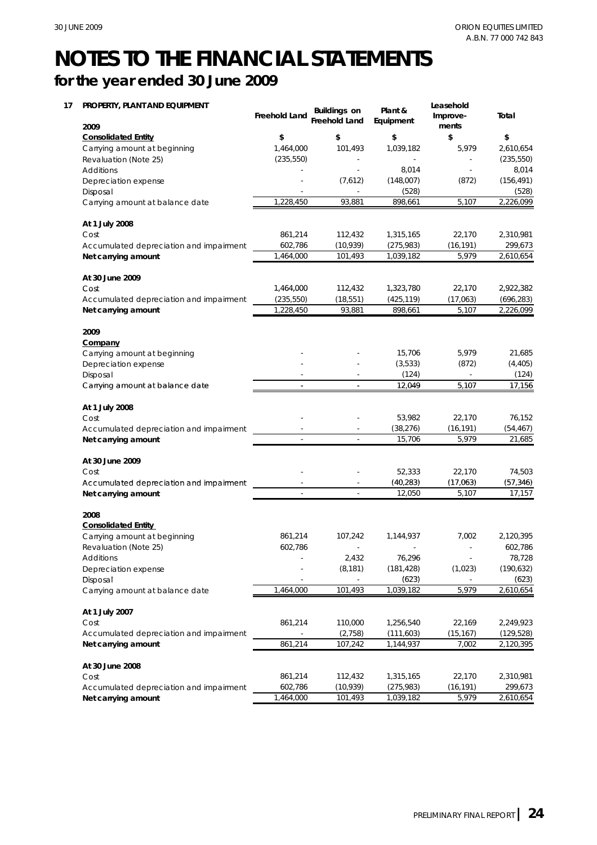**Net carrying amount**

# **NOTES TO THE FINANCIAL STATEMENTS for the year ended 30 June 2009**

#### **17 PROPERTY, PLANT AND EQUIPMENT 2009** Carrying amount at beginning Revaluation (Note 25) Additions Depreciation expense Disposal **Plant & Equipment** 1,039,182 (528) 101,493 (235,550) - - - - - 1,464,000 (235,550) - (7,612) **\$ Freehold Land Buildings on Freehold Land** 5,979 **\$** - 8,014 - (148,007) (528) 8,014 **\$ \$ Leasehold Improvements Total** 2,610,654 (156,491) - (872) **Consolidated Entity \$** Carrying amount at balance date **At 1 July 2008** Cost Accumulated depreciation and impairment **Net carrying amount At 30 June 2009** Cost 1,464,000 112,432 1,323,780 1,039,182 112,432 101,493 (275,983) 1,464,000 (10,939) 1,228,450 93,881 602,786 861,214 22,170 1,315,165 (16,191) 2,226,099 2,610,654 898,661 2,310,981 2,922,382 5,979 299,673 22,170 5,107 Cost Accumulated depreciation and impairment **Net carrying amount 2009 Company** Carrying amount at beginning Depreciation expense Disposal Carrying amount at balance date 112,432 (235,550) (18,551) - - 1,228,450 - - 15,706 5,107 - - (872) 12,049 (3,533) 5,979 - 93,881 - 17,156 (425,119) (17,063) 898,661 2,226,099 21,685 (696,283) (124) (4,405) (124) **At 1 July 2008** Cost Accumulated depreciation and impairment **Net carrying amount At 30 June 2009** Cost Accumulated depreciation and impairment - 15,706 - -  $(40.283)$  - - 53,982 22,170 (38,276) 12,049 5,107 17,156<br>
53,982 22,170 76,152<br>
8,276) (16,191) (54,467)<br>
15,706 5,979 21,685<br>
52,333 22,170 74,503<br>
10,283) (17,063) (57,346) 52,333 (54,467) 22,170 5,107 21,685 74,503 (16,191) 76,152 5,979 **Net carrying amount 2008** Carrying amount at beginning Revaluation (Note 25) Additions Depreciation expense Disposal - - (623) 602,786 - 2,432 (8,181)  $(40,283)$ <br>-  $(12,050)$  - - 861,214 107,242 - 76,296 **Consolidated Entity**  7,002 2,120,395 (190,632) 78,728 12,050 17,157 (17,063)(57,346)5,107 (623) - (181,428) 1,144,937 (1,023) - - 602,786 Carrying amount at balance date **At 1 July 2007** Cost Accumulated depreciation and impairment **Net carrying amount At 30 June 2008** 861,214 861,214 1,464,000 110,000  $(2.758)$ 101,493 107,242 1,144,937 1,256,540 1,039,182 7,002 2,120,395 (129,528) - 22,169 2,249,923 2,610,654 (111,603) 5,979 (15,167) Cost Accumulated depreciation and impairment 602,786 861,214 (10,939) 112,432 22,170 1,315,165 (16,191) 2,310,981 (275,983) 299,673

1,464,000 101,493

2,610,654

1,039,182 5,979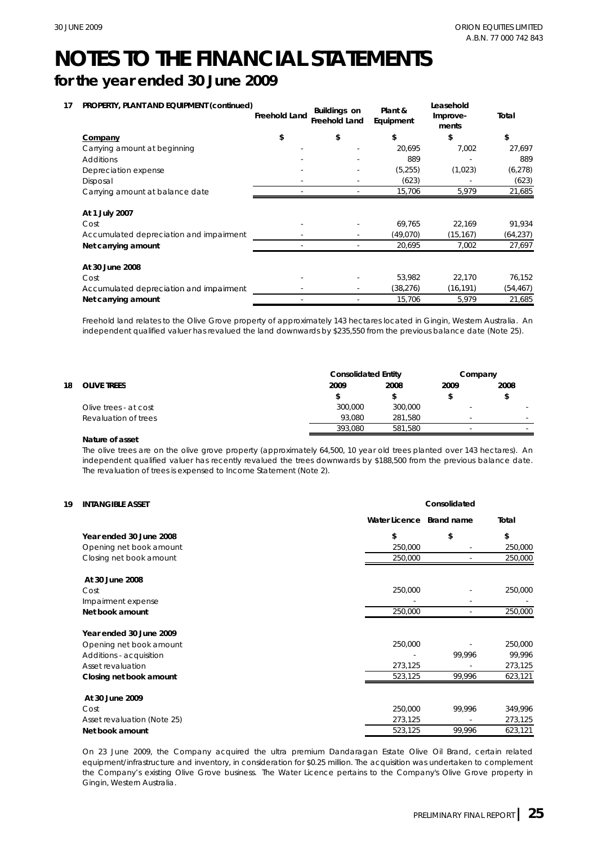# **for the year ended 30 June 2009**

| 17 |  | PROPERTY, PLANT AND EQUIPMENT (continued) |  |
|----|--|-------------------------------------------|--|
|    |  |                                           |  |

| PROPERTY, PLANT AND EQUIPMENT (continued) | <b>Freehold Land</b> | <b>Buildings on</b><br><b>Freehold Land</b> | Plant &<br>Equipment | Leasehold<br>Improve-<br>ments | Total     |
|-------------------------------------------|----------------------|---------------------------------------------|----------------------|--------------------------------|-----------|
| Company                                   | \$                   | \$                                          | \$                   | \$                             | \$        |
| Carrying amount at beginning              |                      |                                             | 20,695               | 7,002                          | 27,697    |
| Additions                                 |                      |                                             | 889                  |                                | 889       |
| Depreciation expense                      |                      |                                             | (5, 255)             | (1,023)                        | (6, 278)  |
| Disposal                                  |                      |                                             | (623)                |                                | (623)     |
| Carrying amount at balance date           |                      |                                             | 15,706               | 5,979                          | 21,685    |
| At 1 July 2007                            |                      |                                             |                      |                                |           |
| Cost                                      |                      |                                             | 69,765               | 22,169                         | 91,934    |
| Accumulated depreciation and impairment   |                      |                                             | (49,070)             | (15, 167)                      | (64, 237) |
| Net carrying amount                       |                      |                                             | 20,695               | 7,002                          | 27,697    |
| At 30 June 2008                           |                      |                                             |                      |                                |           |
| Cost                                      |                      |                                             | 53,982               | 22,170                         | 76,152    |
| Accumulated depreciation and impairment   |                      |                                             | (38, 276)            | (16, 191)                      | (54, 467) |
| Net carrying amount                       |                      |                                             | 15.706               | 5,979                          | 21,685    |

Freehold land relates to the Olive Grove property of approximately 143 hectares located in Gingin, Western Australia. An independent qualified valuer has revalued the land downwards by \$235,550 from the previous balance date (Note 25).

|    |                       | <b>Consolidated Entity</b> |         |      | Company |
|----|-----------------------|----------------------------|---------|------|---------|
| 18 | <b>OLIVE TREES</b>    | 2009                       | 2008    | 2009 | 2008    |
|    |                       |                            |         |      |         |
|    | Olive trees - at cost | 300,000                    | 300,000 |      |         |
|    | Revaluation of trees  | 93.080                     | 281.580 | -    |         |
|    |                       | 393.080                    | 581.580 |      |         |

## **Nature of asset**

The olive trees are on the olive grove property (approximately 64,500, 10 year old trees planted over 143 hectares). An independent qualified valuer has recently revalued the trees downwards by \$188,500 from the previous balance date. The revaluation of trees is expensed to Income Statement (Note 2).

### **19 INTANGIBLE ASSET**

|                             | Water Licence Brand name |        | Total   |  |  |
|-----------------------------|--------------------------|--------|---------|--|--|
| Year ended 30 June 2008     | \$                       | \$     | \$      |  |  |
| Opening net book amount     | 250,000                  |        | 250,000 |  |  |
| Closing net book amount     | 250,000                  |        | 250,000 |  |  |
| At 30 June 2008             |                          |        |         |  |  |
| Cost                        | 250,000                  |        | 250,000 |  |  |
| Impairment expense          |                          |        |         |  |  |
| Net book amount             | 250,000                  |        | 250,000 |  |  |
| Year ended 30 June 2009     |                          |        |         |  |  |
| Opening net book amount     | 250,000                  |        | 250,000 |  |  |
| Additions - acquisition     |                          | 99,996 | 99,996  |  |  |
| Asset revaluation           | 273,125                  |        | 273,125 |  |  |
| Closing net book amount     | 523,125                  | 99,996 | 623,121 |  |  |
| At 30 June 2009             |                          |        |         |  |  |
| Cost                        | 250,000                  | 99,996 | 349,996 |  |  |
| Asset revaluation (Note 25) | 273,125                  |        | 273,125 |  |  |
| Net book amount             | 523,125                  | 99,996 | 623,121 |  |  |
|                             |                          |        |         |  |  |

On 23 June 2009, the Company acquired the ultra premium Dandaragan Estate Olive Oil Brand, certain related equipment/infrastructure and inventory, in consideration for \$0.25 million. The acquisition was undertaken to complement the Company's existing Olive Grove business. The Water Licence pertains to the Company's Olive Grove property in Gingin, Western Australia.

**Consolidated**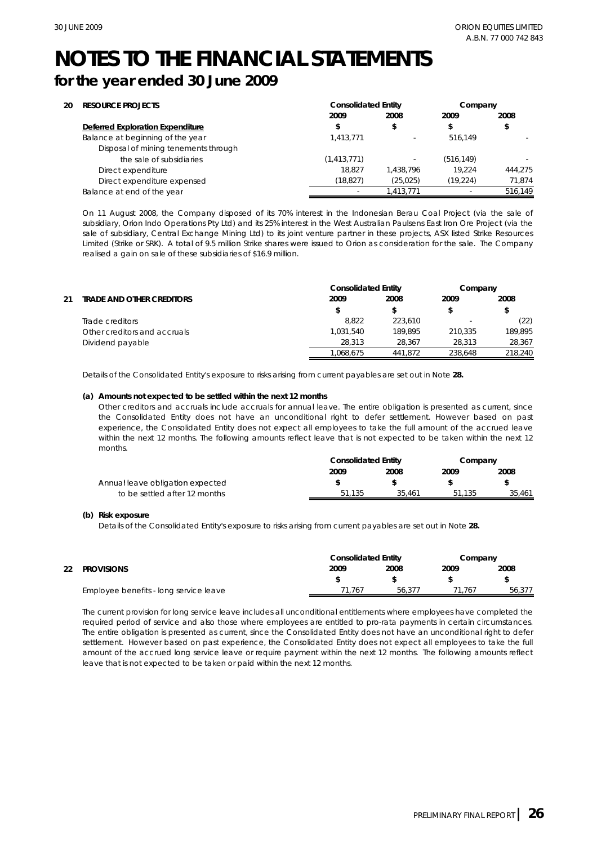# **for the year ended 30 June 2009**

| 20 | <b>RESOURCE PROJECTS</b>             | <b>Consolidated Entity</b> |           | Company    |         |
|----|--------------------------------------|----------------------------|-----------|------------|---------|
|    |                                      | 2009                       | 2008      | 2009       | 2008    |
|    | Deferred Exploration Expenditure     |                            | \$        |            | \$      |
|    | Balance at beginning of the year     | 1.413.771                  |           | 516.149    |         |
|    | Disposal of mining tenements through |                            |           |            |         |
|    | the sale of subsidiaries             | (1,413,771)                |           | (516, 149) |         |
|    | Direct expenditure                   | 18.827                     | 1.438.796 | 19.224     | 444.275 |
|    | Direct expenditure expensed          | (18, 827)                  | (25, 025) | (19, 224)  | 71,874  |
|    | Balance at end of the year           |                            | 1,413,771 | $\sim$     | 516,149 |

On 11 August 2008, the Company disposed of its 70% interest in the Indonesian Berau Coal Project (via the sale of subsidiary, Orion Indo Operations Pty Ltd) and its 25% interest in the West Australian Paulsens East Iron Ore Project (via the sale of subsidiary, Central Exchange Mining Ltd) to its joint venture partner in these projects, ASX listed Strike Resources Limited (Strike or SRK). A total of 9.5 million Strike shares were issued to Orion as consideration for the sale. The Company realised a gain on sale of these subsidiaries of \$16.9 million.

|    |                                  | <b>Consolidated Entity</b><br>Company |         |         |         |
|----|----------------------------------|---------------------------------------|---------|---------|---------|
| 21 | <b>TRADE AND OTHER CREDITORS</b> | 2009                                  | 2008    | 2009    | 2008    |
|    |                                  |                                       |         |         |         |
|    | Trade creditors                  | 8.822                                 | 223.610 | ۰       | (22)    |
|    | Other creditors and accruals     | 1.031.540                             | 189.895 | 210.335 | 189.895 |
|    | Dividend payable                 | 28.313                                | 28.367  | 28.313  | 28,367  |
|    |                                  | 1.068.675                             | 441.872 | 238.648 | 218.240 |

Details of the Consolidated Entity's exposure to risks arising from current payables are set out in Note **28.**

## **(a) Amounts not expected to be settled within the next 12 months**

Other creditors and accruals include accruals for annual leave. The entire obligation is presented as current, since the Consolidated Entity does not have an unconditional right to defer settlement. However based on past experience, the Consolidated Entity does not expect all employees to take the full amount of the accrued leave within the next 12 months. The following amounts reflect leave that is not expected to be taken within the next 12 months.

|                                  | <b>Consolidated Entity</b> |        | Company |        |
|----------------------------------|----------------------------|--------|---------|--------|
|                                  | 2009                       | 2008   | 2009    | 2008   |
| Annual leave obligation expected |                            |        |         |        |
| to be settled after 12 months    | 51.135                     | 35.461 | 51.135  | 35.461 |

### **(b) Risk exposure**

Details of the Consolidated Entity's exposure to risks arising from current payables are set out in Note **28.**

|    |                                        | <b>Consolidated Entity</b> | Company |      |        |
|----|----------------------------------------|----------------------------|---------|------|--------|
| 22 | <b>PROVISIONS</b>                      | 2009                       | 2008    | 2009 | 2008   |
|    |                                        |                            |         |      |        |
|    | Employee benefits - long service leave | 71.767                     | 56.377  | .767 | 56.377 |

The current provision for long service leave includes all unconditional entitlements where employees have completed the required period of service and also those where employees are entitled to pro-rata payments in certain circumstances. The entire obligation is presented as current, since the Consolidated Entity does not have an unconditional right to defer settlement. However based on past experience, the Consolidated Entity does not expect all employees to take the full amount of the accrued long service leave or require payment within the next 12 months. The following amounts reflect leave that is not expected to be taken or paid within the next 12 months.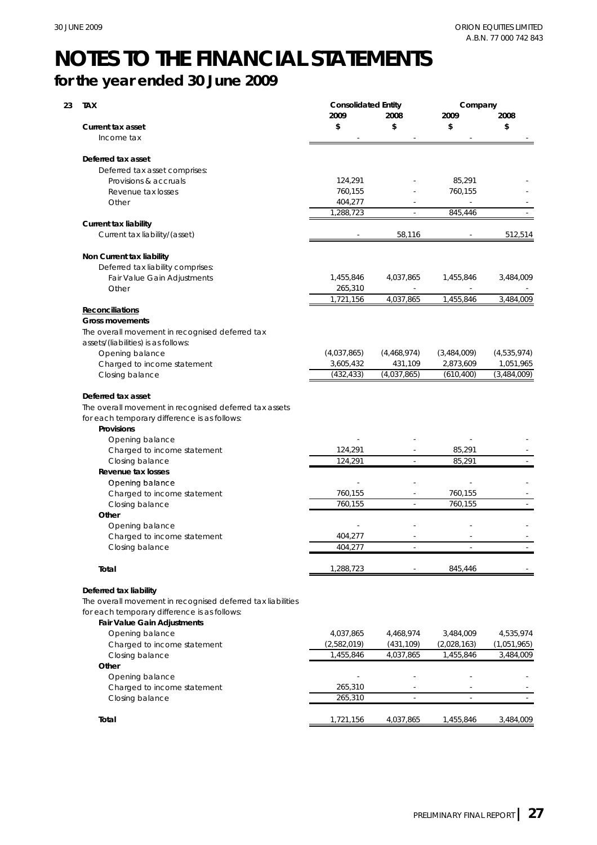# **for the year ended 30 June 2009**

| <b>TAX</b>                                                                                                                            | <b>Consolidated Entity</b><br>2009<br>2008 |                          | Company<br>2009<br>2008 |             |
|---------------------------------------------------------------------------------------------------------------------------------------|--------------------------------------------|--------------------------|-------------------------|-------------|
| <b>Current tax asset</b>                                                                                                              | \$                                         | \$                       | \$                      | \$          |
| Income tax                                                                                                                            |                                            |                          |                         |             |
|                                                                                                                                       |                                            |                          |                         |             |
| Deferred tax asset                                                                                                                    |                                            |                          |                         |             |
| Deferred tax asset comprises:                                                                                                         |                                            |                          |                         |             |
| Provisions & accruals                                                                                                                 | 124,291                                    |                          | 85,291                  |             |
| Revenue tax losses                                                                                                                    | 760,155                                    |                          | 760,155                 |             |
| Other                                                                                                                                 | 404,277                                    |                          |                         |             |
|                                                                                                                                       | 1,288,723                                  |                          | 845,446                 |             |
| <b>Current tax liability</b>                                                                                                          |                                            |                          |                         |             |
| Current tax liability/(asset)                                                                                                         |                                            | 58,116                   |                         | 512,514     |
| Non Current tax liability                                                                                                             |                                            |                          |                         |             |
| Deferred tax liability comprises:                                                                                                     |                                            |                          |                         |             |
| Fair Value Gain Adjustments                                                                                                           | 1,455,846                                  | 4,037,865                | 1,455,846               | 3,484,009   |
| Other                                                                                                                                 | 265,310                                    |                          |                         |             |
|                                                                                                                                       | 1,721,156                                  | 4,037,865                | 1,455,846               | 3,484,009   |
| <b>Reconciliations</b>                                                                                                                |                                            |                          |                         |             |
| <b>Gross movements</b>                                                                                                                |                                            |                          |                         |             |
| The overall movement in recognised deferred tax                                                                                       |                                            |                          |                         |             |
| assets/(liabilities) is as follows:                                                                                                   |                                            |                          |                         |             |
| Opening balance                                                                                                                       | (4,037,865)                                | (4,468,974)              | (3,484,009)             | (4,535,974) |
| Charged to income statement                                                                                                           | 3,605,432                                  | 431,109                  | 2,873,609               | 1,051,965   |
| Closing balance                                                                                                                       | (432, 433)                                 | (4,037,865)              | (610, 400)              | (3,484,009) |
| The overall movement in recognised deferred tax assets<br>for each temporary difference is as follows:<br>Provisions                  |                                            |                          |                         |             |
| Opening balance                                                                                                                       |                                            |                          |                         |             |
| Charged to income statement                                                                                                           | 124,291<br>124,291                         | $\overline{\phantom{a}}$ | 85,291<br>85,291        |             |
| Closing balance<br>Revenue tax losses                                                                                                 |                                            |                          |                         |             |
|                                                                                                                                       |                                            |                          |                         |             |
| Opening balance                                                                                                                       | 760,155                                    |                          | 760,155                 |             |
| Charged to income statement                                                                                                           | 760,155                                    | $\overline{\phantom{a}}$ | 760,155                 |             |
| Closing balance<br>Other                                                                                                              |                                            |                          |                         |             |
| Opening balance                                                                                                                       |                                            |                          |                         |             |
| Charged to income statement                                                                                                           | 404,277                                    |                          |                         |             |
| Closing balance                                                                                                                       | 404,277                                    |                          |                         |             |
|                                                                                                                                       |                                            |                          |                         |             |
| Total                                                                                                                                 | 1,288,723                                  |                          | 845,446                 |             |
| Deferred tax liability<br>The overall movement in recognised deferred tax liabilities<br>for each temporary difference is as follows: |                                            |                          |                         |             |
| Fair Value Gain Adjustments                                                                                                           |                                            |                          |                         |             |
|                                                                                                                                       | 4,037,865                                  | 4,468,974                | 3,484,009               | 4,535,974   |
| Opening balance                                                                                                                       | (2,582,019)                                | (431, 109)               | (2,028,163)             | (1,051,965) |
| Charged to income statement                                                                                                           | 1,455,846                                  |                          |                         |             |
| Closing balance                                                                                                                       |                                            | 4,037,865                | 1,455,846               | 3,484,009   |
| Other                                                                                                                                 |                                            |                          |                         |             |
| Opening balance                                                                                                                       |                                            |                          |                         |             |
| Charged to income statement                                                                                                           | 265,310                                    |                          |                         |             |
| Closing balance                                                                                                                       | 265,310                                    |                          |                         |             |
| Total                                                                                                                                 | 1,721,156                                  | 4,037,865                | 1,455,846               | 3,484,009   |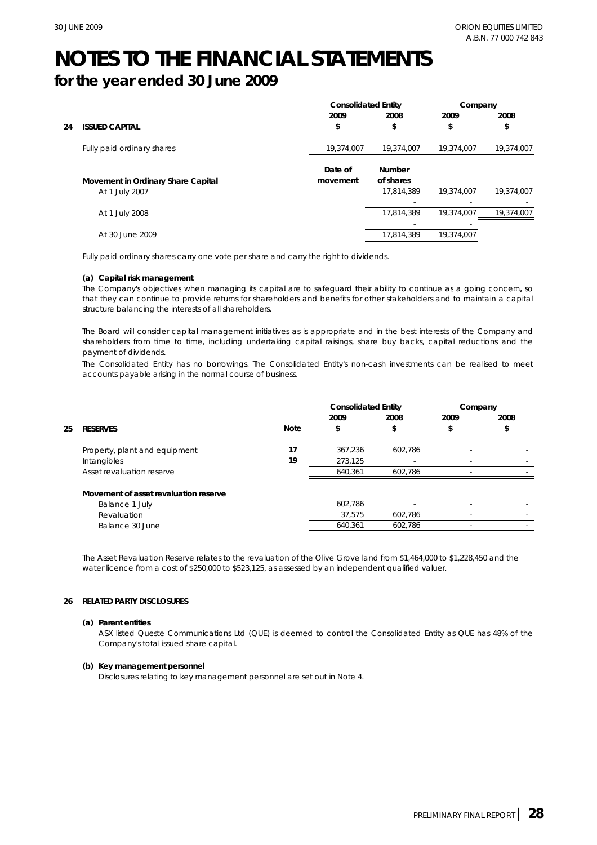# **for the year ended 30 June 2009**

|    |                                    | <b>Consolidated Entity</b> |                            | Company    |            |
|----|------------------------------------|----------------------------|----------------------------|------------|------------|
|    |                                    | 2009                       | 2008                       | 2009       | 2008       |
| 24 | <b>ISSUED CAPITAL</b>              | \$                         | \$                         | \$         | \$         |
|    | Fully paid ordinary shares         | 19,374,007                 | 19,374,007                 | 19,374,007 | 19,374,007 |
|    | Movement in Ordinary Share Capital | Date of<br>movement        | <b>Number</b><br>of shares |            |            |
|    | At 1 July 2007                     |                            | 17.814.389                 | 19,374,007 | 19,374,007 |
|    | At 1 July 2008                     |                            | 17.814.389                 | 19.374.007 | 19,374,007 |
|    |                                    |                            |                            |            |            |
|    | At 30 June 2009                    |                            | 17,814,389                 | 19,374,007 |            |

Fully paid ordinary shares carry one vote per share and carry the right to dividends.

## **(a) Capital risk management**

The Company's objectives when managing its capital are to safeguard their ability to continue as a going concern, so that they can continue to provide returns for shareholders and benefits for other stakeholders and to maintain a capital structure balancing the interests of all shareholders.

The Board will consider capital management initiatives as is appropriate and in the best interests of the Company and shareholders from time to time, including undertaking capital raisings, share buy backs, capital reductions and the payment of dividends.

The Consolidated Entity has no borrowings. The Consolidated Entity's non-cash investments can be realised to meet accounts payable arising in the normal course of business.

|    |                                       |             | <b>Consolidated Entity</b> |         | Company |      |
|----|---------------------------------------|-------------|----------------------------|---------|---------|------|
|    |                                       |             | 2009                       | 2008    | 2009    | 2008 |
| 25 | <b>RESERVES</b>                       | <b>Note</b> | \$                         | \$      | \$      | \$   |
|    | Property, plant and equipment         | 17          | 367.236                    | 602.786 |         |      |
|    | Intangibles                           | 19          | 273,125                    |         |         |      |
|    | Asset revaluation reserve             |             | 640.361                    | 602.786 |         |      |
|    | Movement of asset revaluation reserve |             |                            |         |         |      |
|    | Balance 1 July                        |             | 602.786                    |         |         |      |
|    | Revaluation                           |             | 37,575                     | 602.786 |         |      |
|    | Balance 30 June                       |             | 640.361                    | 602,786 |         |      |
|    |                                       |             |                            |         |         |      |

The Asset Revaluation Reserve relates to the revaluation of the Olive Grove land from \$1,464,000 to \$1,228,450 and the water licence from a cost of \$250,000 to \$523,125, as assessed by an independent qualified valuer.

## **26 RELATED PARTY DISCLOSURES**

## **(a) Parent entities**

ASX listed Queste Communications Ltd (QUE) is deemed to control the Consolidated Entity as QUE has 48% of the Company's total issued share capital.

### **(b) Key management personnel**

Disclosures relating to key management personnel are set out in Note 4.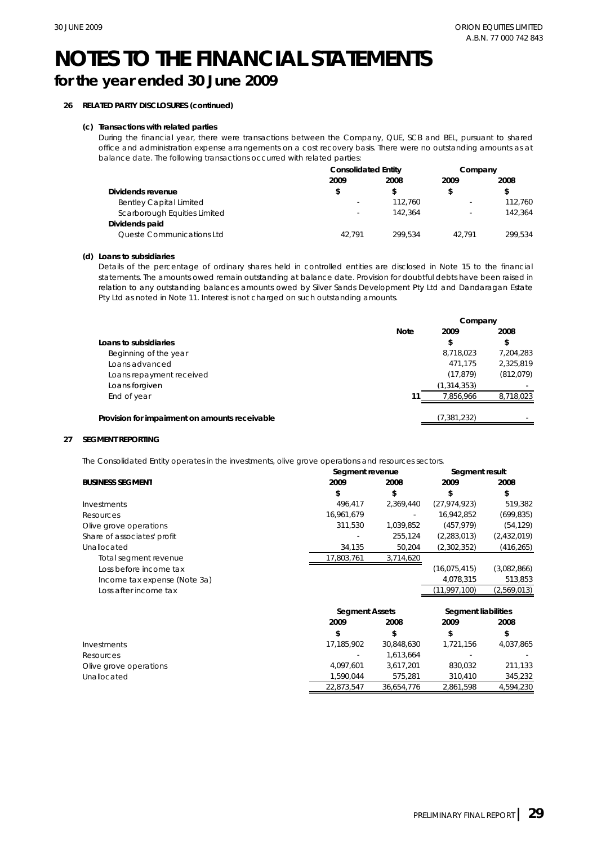# **for the year ended 30 June 2009**

# **26 RELATED PARTY DISCLOSURES (continued)**

## **(c) Transactions with related parties**

During the financial year, there were transactions between the Company, QUE, SCB and BEL, pursuant to shared office and administration expense arrangements on a cost recovery basis. There were no outstanding amounts as at balance date. The following transactions occurred with related parties:

|                                | <b>Consolidated Entity</b> |         | Company |         |
|--------------------------------|----------------------------|---------|---------|---------|
|                                | 2009                       | 2008    | 2009    | 2008    |
| Dividends revenue              | \$                         | S       |         | \$      |
| <b>Bentley Capital Limited</b> | $\sim$                     | 112.760 | ۰       | 112.760 |
| Scarborough Equities Limited   | ٠                          | 142.364 | ۰       | 142.364 |
| Dividends paid                 |                            |         |         |         |
| Queste Communications Ltd      | 42.791                     | 299.534 | 42.791  | 299.534 |

## **(d) Loans to subsidiaries**

Details of the percentage of ordinary shares held in controlled entities are disclosed in Note 15 to the financial statements. The amounts owed remain outstanding at balance date. Provision for doubtful debts have been raised in relation to any outstanding balances amounts owed by Silver Sands Development Pty Ltd and Dandaragan Estate Pty Ltd as noted in Note 11. Interest is not charged on such outstanding amounts.

|                                                | Company     |               |            |
|------------------------------------------------|-------------|---------------|------------|
|                                                | <b>Note</b> | 2009          | 2008       |
| Loans to subsidiaries                          |             | \$            | \$         |
| Beginning of the year                          |             | 8,718,023     | 7,204,283  |
| Loans advanced                                 |             | 471.175       | 2.325.819  |
| Loans repayment received                       |             | (17, 879)     | (812, 079) |
| Loans forgiven                                 |             | (1, 314, 353) |            |
| End of year                                    | 11          | 7.856.966     | 8,718,023  |
| Provision for impairment on amounts receivable |             | (7, 381, 232) |            |

## **27 SEGMENT REPORTING**

The Consolidated Entity operates in the investments, olive grove operations and resources sectors.

|                              | Segment revenue       | Segment result |                     |             |  |
|------------------------------|-----------------------|----------------|---------------------|-------------|--|
| <b>BUSINESS SEGMENT</b>      | 2009                  | 2008           | 2009                | 2008        |  |
|                              | \$                    | \$             | \$                  | \$          |  |
| Investments                  | 496,417               | 2,369,440      | (27, 974, 923)      | 519,382     |  |
| Resources                    | 16,961,679            |                | 16,942,852          | (699, 835)  |  |
| Olive grove operations       | 311,530               | 1,039,852      | (457, 979)          | (54, 129)   |  |
| Share of associates' profit  |                       | 255,124        | (2, 283, 013)       | (2,432,019) |  |
| Unallocated                  | 34,135                | 50,204         | (2,302,352)         | (416, 265)  |  |
| Total segment revenue        | 17,803,761            | 3,714,620      |                     |             |  |
| Loss before income tax       |                       |                | (16,075,415)        | (3,082,866) |  |
| Income tax expense (Note 3a) |                       |                | 4,078,315           | 513,853     |  |
| Loss after income tax        |                       |                | (11,997,100)        | (2,569,013) |  |
|                              | <b>Segment Assets</b> |                | Segment liabilities |             |  |
|                              | 2009                  | 2008           | 2009                | 2008        |  |
|                              | \$                    | \$             | \$                  | \$          |  |
| Investments                  | 17,185,902            | 30,848,630     | 1,721,156           | 4,037,865   |  |
| Resources                    |                       | 1,613,664      |                     |             |  |
| Olive grove operations       | 4,097,601             | 3,617,201      | 830,032             | 211,133     |  |
| Unallocated                  | 1,590,044             | 575,281        | 310,410             | 345,232     |  |
|                              | 22,873,547            | 36,654,776     | 2,861,598           | 4,594,230   |  |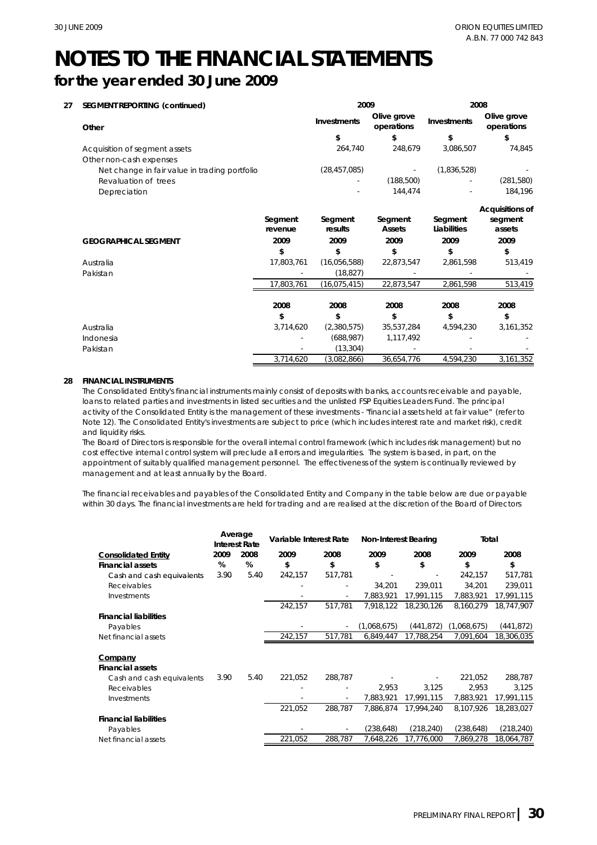# **for the year ended 30 June 2009**

| 27 | <b>SEGMENT REPORTING (continued)</b>          | 2009               |                    | 2008                      |                        |                                             |
|----|-----------------------------------------------|--------------------|--------------------|---------------------------|------------------------|---------------------------------------------|
|    | Other                                         |                    | Investments        | Olive grove<br>operations | <b>Investments</b>     | Olive grove<br>operations                   |
|    |                                               |                    | \$                 | \$                        | \$                     | \$                                          |
|    | Acquisition of segment assets                 |                    | 264,740            | 248,679                   | 3,086,507              | 74,845                                      |
|    | Other non-cash expenses                       |                    |                    |                           |                        |                                             |
|    | Net change in fair value in trading portfolio |                    | (28, 457, 085)     |                           | (1,836,528)            |                                             |
|    | Revaluation of trees                          |                    |                    | (188,500)                 |                        | (281, 580)                                  |
|    | Depreciation                                  |                    |                    | 144.474                   |                        | 184,196                                     |
|    |                                               | Segment<br>revenue | Segment<br>results | Segment<br><b>Assets</b>  | Segment<br>Liabilities | <b>Acquisitions of</b><br>segment<br>assets |
|    | <b>GEOGRAPHICAL SEGMENT</b>                   | 2009               | 2009               | 2009                      | 2009                   | 2009                                        |
|    |                                               | \$                 | \$                 | \$                        | \$                     | \$                                          |
|    | Australia                                     | 17,803,761         | (16,056,588)       | 22,873,547                | 2,861,598              | 513,419                                     |
|    | Pakistan                                      |                    | (18, 827)          |                           |                        |                                             |
|    |                                               | 17,803,761         | (16, 075, 415)     | 22,873,547                | 2,861,598              | 513,419                                     |
|    |                                               | 2008               | 2008               | 2008                      | 2008                   | 2008                                        |
|    |                                               | \$                 | \$                 | \$                        | \$                     | \$                                          |
|    | Australia                                     | 3,714,620          | (2,380,575)        | 35,537,284                | 4,594,230              | 3,161,352                                   |
|    | Indonesia                                     |                    | (688, 987)         | 1,117,492                 |                        |                                             |
|    | Pakistan                                      |                    | (13, 304)          |                           |                        |                                             |
|    |                                               | 3,714,620          | (3,082,866)        | 36,654,776                | 4,594,230              | 3,161,352                                   |

## **28 FINANCIAL INSTRUMENTS**

The Consolidated Entity's financial instruments mainly consist of deposits with banks, accounts receivable and payable, loans to related parties and investments in listed securities and the unlisted FSP Equities Leaders Fund. The principal activity of the Consolidated Entity is the management of these investments - "financial assets held at fair value" (refer to Note 12). The Consolidated Entity's investments are subject to price (which includes interest rate and market risk), credit and liquidity risks.

The Board of Directors is responsible for the overall internal control framework (which includes risk management) but no cost effective internal control system will preclude all errors and irregularities. The system is based, in part, on the appointment of suitably qualified management personnel. The effectiveness of the system is continually reviewed by management and at least annually by the Board.

The financial receivables and payables of the Consolidated Entity and Company in the table below are due or payable within 30 days. The financial investments are held for trading and are realised at the discretion of the Board of Directors

|                              | Average<br><b>Interest Rate</b> |      |         |                          | Variable Interest Rate |            | Non-Interest Bearing |            | Total |  |
|------------------------------|---------------------------------|------|---------|--------------------------|------------------------|------------|----------------------|------------|-------|--|
| <b>Consolidated Entity</b>   | 2009                            | 2008 | 2009    | 2008                     | 2009                   | 2008       | 2009                 | 2008       |       |  |
| <b>Financial assets</b>      | %                               | %    | \$      | \$                       | \$                     | \$         | \$                   | \$         |       |  |
| Cash and cash equivalents    | 3.90                            | 5.40 | 242,157 | 517,781                  |                        |            | 242,157              | 517,781    |       |  |
| <b>Receivables</b>           |                                 |      |         |                          | 34,201                 | 239,011    | 34,201               | 239,011    |       |  |
| Investments                  |                                 |      |         | ٠                        | 7,883,921              | 17,991,115 | 7,883,921            | 17,991,115 |       |  |
|                              |                                 |      | 242,157 | 517,781                  | 7,918,122              | 18,230,126 | 8,160,279            | 18,747,907 |       |  |
| <b>Financial liabilities</b> |                                 |      |         |                          |                        |            |                      |            |       |  |
| Payables                     |                                 |      |         |                          | (1,068,675)            | (441,872)  | (1,068,675)          | (441, 872) |       |  |
| Net financial assets         |                                 |      | 242,157 | 517,781                  | 6,849,447              | 17,788,254 | 7,091,604            | 18,306,035 |       |  |
|                              |                                 |      |         |                          |                        |            |                      |            |       |  |
| Company                      |                                 |      |         |                          |                        |            |                      |            |       |  |
| <b>Financial assets</b>      |                                 |      |         |                          |                        |            |                      |            |       |  |
| Cash and cash equivalents    | 3.90                            | 5.40 | 221.052 | 288,787                  |                        |            | 221,052              | 288,787    |       |  |
| <b>Receivables</b>           |                                 |      |         |                          | 2,953                  | 3,125      | 2.953                | 3,125      |       |  |
| Investments                  |                                 |      |         | ٠                        | 7,883,921              | 17,991,115 | 7,883,921            | 17,991,115 |       |  |
|                              |                                 |      | 221.052 | 288.787                  | 7.886.874              | 17.994.240 | 8,107,926            | 18,283,027 |       |  |
| <b>Financial liabilities</b> |                                 |      |         |                          |                        |            |                      |            |       |  |
| Payables                     |                                 |      |         | $\overline{\phantom{a}}$ | (238, 648)             | (218, 240) | (238, 648)           | (218, 240) |       |  |
| Net financial assets         |                                 |      | 221,052 | 288,787                  | 7,648,226              | 17,776,000 | 7,869,278            | 18,064,787 |       |  |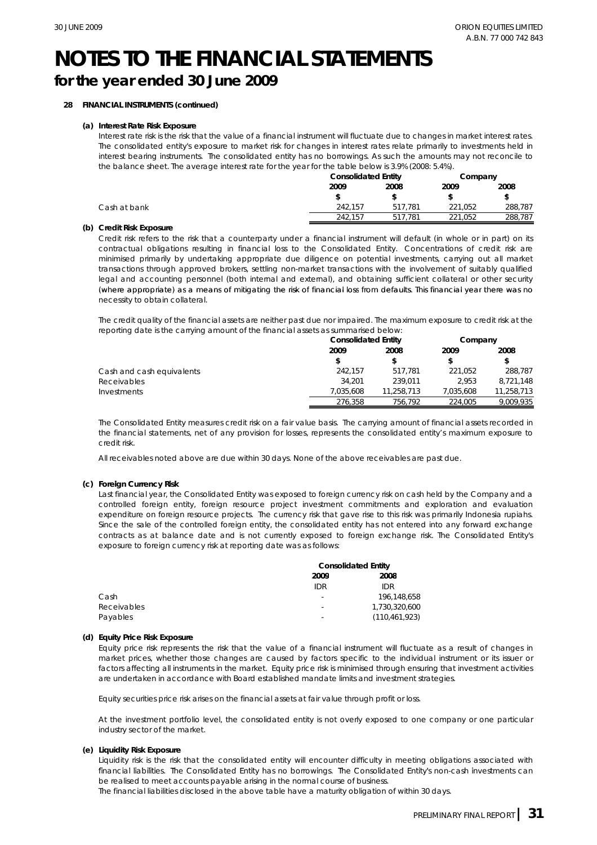# **for the year ended 30 June 2009**

# **28 FINANCIAL INSTRUMENTS (continued)**

## **(a) Interest Rate Risk Exposure**

Interest rate risk is the risk that the value of a financial instrument will fluctuate due to changes in market interest rates. The consolidated entity's exposure to market risk for changes in interest rates relate primarily to investments held in interest bearing instruments. The consolidated entity has no borrowings. As such the amounts may not reconcile to the balance sheet. The average interest rate for the year for the table below is 3.9% (2008: 5.4%).

|              | <b>Consolidated Entity</b> |             | Company |         |
|--------------|----------------------------|-------------|---------|---------|
|              | 2009<br>2008               |             | 2009    | 2008    |
|              |                            |             |         |         |
| Cash at bank | 242.157                    | 517.781     | 221.052 | 288,787 |
|              | 242.157                    | 517<br>.781 | .052    | 288.787 |

## **(b) Credit Risk Exposure**

Credit risk refers to the risk that a counterparty under a financial instrument will default (in whole or in part) on its contractual obligations resulting in financial loss to the Consolidated Entity. Concentrations of credit risk are minimised primarily by undertaking appropriate due diligence on potential investments, carrying out all market transactions through approved brokers, settling non-market transactions with the involvement of suitably qualified legal and accounting personnel (both internal and external), and obtaining sufficient collateral or other security (where appropriate) as a means of mitigating the risk of financial loss from defaults This financial year there was no defaults. necessity to obtain collateral.

The credit quality of the financial assets are neither past due nor impaired. The maximum exposure to credit risk at the reporting date is the carrying amount of the financial assets as summarised below:

|                           | <b>Consolidated Entity</b> |            | Company   |            |
|---------------------------|----------------------------|------------|-----------|------------|
|                           | 2009                       | 2008       | 2009      | 2008       |
|                           |                            |            |           |            |
| Cash and cash equivalents | 242.157                    | 517.781    | 221.052   | 288.787    |
| Receivables               | 34.201                     | 239.011    | 2.953     | 8,721,148  |
| Investments               | 7.035.608                  | 11.258.713 | 7.035.608 | 11,258,713 |
|                           | 276.358                    | 756.792    | 224.005   | 9.009.935  |

The Consolidated Entity measures credit risk on a fair value basis. The carrying amount of financial assets recorded in the financial statements, net of any provision for losses, represents the consolidated entity's maximum exposure to credit risk.

All receivables noted above are due within 30 days. None of the above receivables are past due.

## **(c) Foreign Currency Risk**

(c) Foreign Currency Risk<br>Last financial year, the Consolidated Entity was exposed to foreign currency rist<br>controlled foreign entity, foreign resource project investment commitme<br>expenditure on foreign resource projects. Last financial year, the Consolidated Entity was exposed to foreign currency risk on cash held by the Company and a controlled foreign entity, foreign resource project investment commitments and exploration and evaluation expenditure on foreign resource projects. The currency risk that gave rise to this risk was primarily Indonesia rupiahs. Since the sale of the controlled foreign entity, the consolidated entity has not entered into any forward exchange contracts as at balance date and is not currently exposed to foreign exchange risk. The Consolidated Entity's exposure to foreign currency risk at reporting date was as follows:

|             | <b>Consolidated Entity</b> |                 |  |  |
|-------------|----------------------------|-----------------|--|--|
|             | 2009                       | 2008            |  |  |
|             | IDR                        | IDR             |  |  |
| Cash        | $\overline{\phantom{a}}$   | 196.148.658     |  |  |
| Receivables | $\overline{\phantom{a}}$   | 1,730,320,600   |  |  |
| Payables    | $\,$                       | (110, 461, 923) |  |  |

### **(d) Equity Price Risk Exposure**

Equity price risk represents the risk that the value of a financial instrument will fluctuate as a result of changes in market prices, whether those changes are caused by factors specific to the individual instrument or its issuer or factors affecting all instruments in the market. Equity price risk is minimised through ensuring that investment activities are undertaken in accordance with Board established mandate limits and investment strategies.

Equity securities price risk arises on the financial assets at fair value through profit or loss.

At the investment portfolio level, the consolidated entity is not overly exposed to one company or one particular industry sector of the market.

### **(e) Liquidity Risk Exposure**

Liquidity risk is the risk that the consolidated entity will encounter difficulty in meeting obligations associated with financial liabilities. The Consolidated Entity has no borrowings. The Consolidated Entity's non-cash investments can be realised to meet accounts payable arising in the normal course of business.

The financial liabilities disclosed in the above table have a maturity obligation of within 30 days.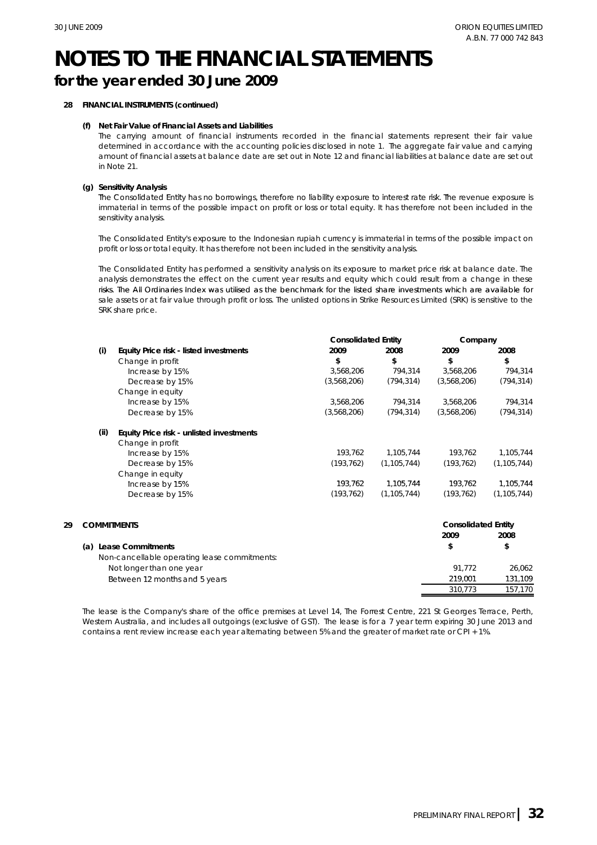# **for the year ended 30 June 2009**

# **28 FINANCIAL INSTRUMENTS (continued)**

## **(f) Net Fair Value of Financial Assets and Liabilities**

The carrying amount of financial instruments recorded in the financial statements represent their fair value determined in accordance with the accounting policies disclosed in note 1. The aggregate fair value and carrying amount of financial assets at balance date are set out in Note 12 and financial liabilities at balance date are set out in Note 21.

## **(g) Sensitivity Analysis**

The Consolidated Entity has no borrowings, therefore no liability exposure to interest rate risk. The revenue exposure is immaterial in terms of the possible impact on profit or loss or total equity. It has therefore not been included in the sensitivity analysis.

The Consolidated Entity's exposure to the Indonesian rupiah currency is immaterial in terms of the possible impact on profit or loss or total equity. It has therefore not been included in the sensitivity analysis.

The Consolidated Entity has performed a sensitivity analysis on its exposure to market price risk at balance date. The analysis demonstrates the effect on the current year results and equity which could result from a change in these risks The All Ordinaries Index was utilised as the benchmark for the listed share investments which are available for risks. sale assets or at fair value through profit or loss. The unlisted options in Strike Resources Limited (SRK) is sensitive to the SRK share price.

|    |                                               |                                              | <b>Consolidated Entity</b> |               | Company                    |               |
|----|-----------------------------------------------|----------------------------------------------|----------------------------|---------------|----------------------------|---------------|
|    | (i)<br>Equity Price risk - listed investments | 2009                                         | 2008                       | 2009          | 2008                       |               |
|    |                                               | Change in profit                             | \$                         | \$            | \$                         | \$            |
|    |                                               | Increase by 15%                              | 3,568,206                  | 794,314       | 3,568,206                  | 794,314       |
|    |                                               | Decrease by 15%                              | (3,568,206)                | (794, 314)    | (3,568,206)                | (794, 314)    |
|    |                                               | Change in equity                             |                            |               |                            |               |
|    |                                               | Increase by 15%                              | 3,568,206                  | 794,314       | 3,568,206                  | 794,314       |
|    |                                               | Decrease by 15%                              | (3,568,206)                | (794, 314)    | (3,568,206)                | (794, 314)    |
|    | (ii)                                          | Equity Price risk - unlisted investments     |                            |               |                            |               |
|    |                                               | Change in profit                             |                            |               |                            |               |
|    |                                               | Increase by 15%                              | 193,762                    | 1,105,744     | 193,762                    | 1,105,744     |
|    |                                               | Decrease by 15%                              | (193, 762)                 | (1, 105, 744) | (193, 762)                 | (1, 105, 744) |
|    |                                               | Change in equity                             |                            |               |                            |               |
|    |                                               | Increase by 15%                              | 193,762                    | 1,105,744     | 193,762                    | 1,105,744     |
|    |                                               | Decrease by 15%                              | (193, 762)                 | (1, 105, 744) | (193, 762)                 | (1, 105, 744) |
| 29 | <b>COMMITMENTS</b>                            |                                              |                            |               | <b>Consolidated Entity</b> |               |
|    |                                               |                                              |                            |               | 2009                       | 2008          |
|    | (a) Lease Commitments                         |                                              |                            |               | \$                         | \$            |
|    |                                               | Non-cancellable operating lease commitments: |                            |               |                            |               |
|    |                                               | Not longer than one year                     |                            |               | 91,772                     | 26,062        |
|    |                                               | Between 12 months and 5 years                |                            |               | 219,001                    | 131,109       |
|    |                                               |                                              |                            |               | 310,773                    | 157,170       |

The lease is the Company's share of the office premises at Level 14, The Forrest Centre, 221 St Georges Terrace, Perth, Western Australia, and includes all outgoings (exclusive of GST). The lease is for a 7 year term expiring 30 June 2013 and contains a rent review increase each year alternating between 5% and the greater of market rate or CPI + 1%.